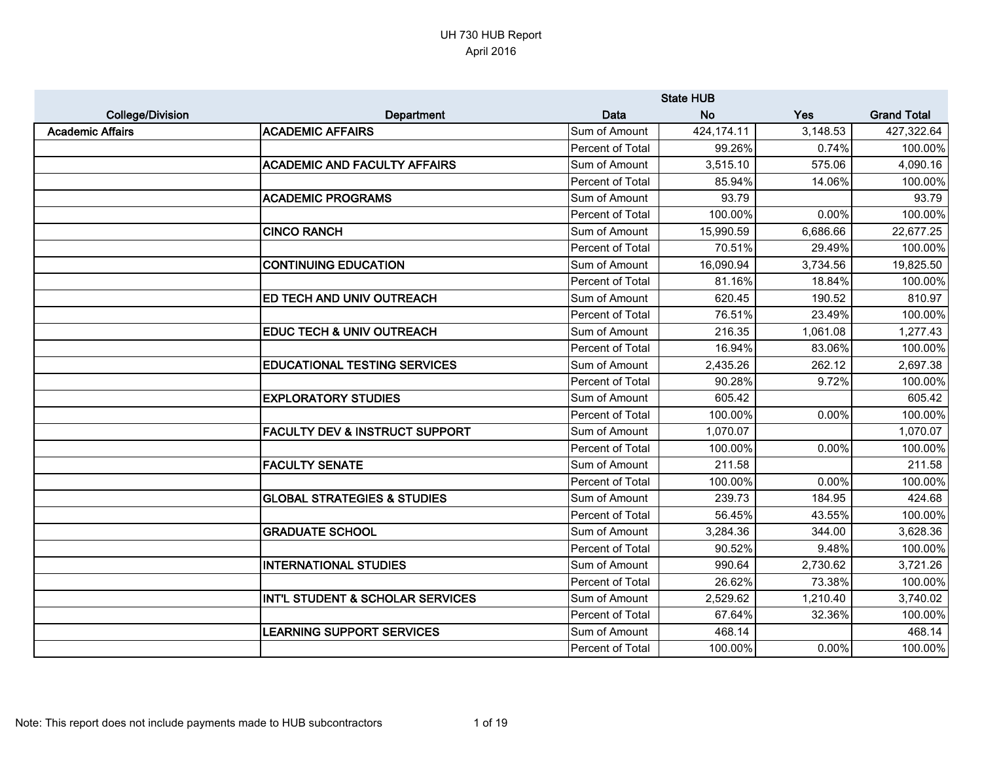|                         |                                             |                         | <b>State HUB</b> |          |                    |
|-------------------------|---------------------------------------------|-------------------------|------------------|----------|--------------------|
| <b>College/Division</b> | Department                                  | <b>Data</b>             | <b>No</b>        | Yes      | <b>Grand Total</b> |
| <b>Academic Affairs</b> | <b>ACADEMIC AFFAIRS</b>                     | Sum of Amount           | 424,174.11       | 3,148.53 | 427,322.64         |
|                         |                                             | Percent of Total        | 99.26%           | 0.74%    | 100.00%            |
|                         | <b>ACADEMIC AND FACULTY AFFAIRS</b>         | Sum of Amount           | 3,515.10         | 575.06   | 4,090.16           |
|                         |                                             | Percent of Total        | 85.94%           | 14.06%   | 100.00%            |
|                         | <b>ACADEMIC PROGRAMS</b>                    | Sum of Amount           | 93.79            |          | 93.79              |
|                         |                                             | Percent of Total        | 100.00%          | 0.00%    | 100.00%            |
|                         | <b>CINCO RANCH</b>                          | Sum of Amount           | 15,990.59        | 6,686.66 | 22,677.25          |
|                         |                                             | Percent of Total        | 70.51%           | 29.49%   | 100.00%            |
|                         | <b>CONTINUING EDUCATION</b>                 | Sum of Amount           | 16,090.94        | 3,734.56 | 19,825.50          |
|                         |                                             | Percent of Total        | 81.16%           | 18.84%   | 100.00%            |
|                         | <b>ED TECH AND UNIV OUTREACH</b>            | Sum of Amount           | 620.45           | 190.52   | 810.97             |
|                         |                                             | <b>Percent of Total</b> | 76.51%           | 23.49%   | 100.00%            |
|                         | <b>EDUC TECH &amp; UNIV OUTREACH</b>        | Sum of Amount           | 216.35           | 1,061.08 | 1,277.43           |
|                         |                                             | Percent of Total        | 16.94%           | 83.06%   | 100.00%            |
|                         | <b>EDUCATIONAL TESTING SERVICES</b>         | Sum of Amount           | 2,435.26         | 262.12   | 2,697.38           |
|                         |                                             | Percent of Total        | 90.28%           | 9.72%    | 100.00%            |
|                         | <b>EXPLORATORY STUDIES</b>                  | Sum of Amount           | 605.42           |          | 605.42             |
|                         |                                             | Percent of Total        | 100.00%          | 0.00%    | 100.00%            |
|                         | <b>FACULTY DEV &amp; INSTRUCT SUPPORT</b>   | Sum of Amount           | 1,070.07         |          | 1,070.07           |
|                         |                                             | Percent of Total        | 100.00%          | 0.00%    | 100.00%            |
|                         | <b>FACULTY SENATE</b>                       | Sum of Amount           | 211.58           |          | 211.58             |
|                         |                                             | Percent of Total        | 100.00%          | 0.00%    | 100.00%            |
|                         | <b>GLOBAL STRATEGIES &amp; STUDIES</b>      | Sum of Amount           | 239.73           | 184.95   | 424.68             |
|                         |                                             | Percent of Total        | 56.45%           | 43.55%   | 100.00%            |
|                         | <b>GRADUATE SCHOOL</b>                      | Sum of Amount           | 3,284.36         | 344.00   | 3,628.36           |
|                         |                                             | Percent of Total        | 90.52%           | 9.48%    | 100.00%            |
|                         | <b>INTERNATIONAL STUDIES</b>                | Sum of Amount           | 990.64           | 2,730.62 | 3,721.26           |
|                         |                                             | Percent of Total        | 26.62%           | 73.38%   | 100.00%            |
|                         | <b>INT'L STUDENT &amp; SCHOLAR SERVICES</b> | Sum of Amount           | 2,529.62         | 1,210.40 | 3,740.02           |
|                         |                                             | Percent of Total        | 67.64%           | 32.36%   | 100.00%            |
|                         | <b>LEARNING SUPPORT SERVICES</b>            | Sum of Amount           | 468.14           |          | 468.14             |
|                         |                                             | Percent of Total        | 100.00%          | 0.00%    | 100.00%            |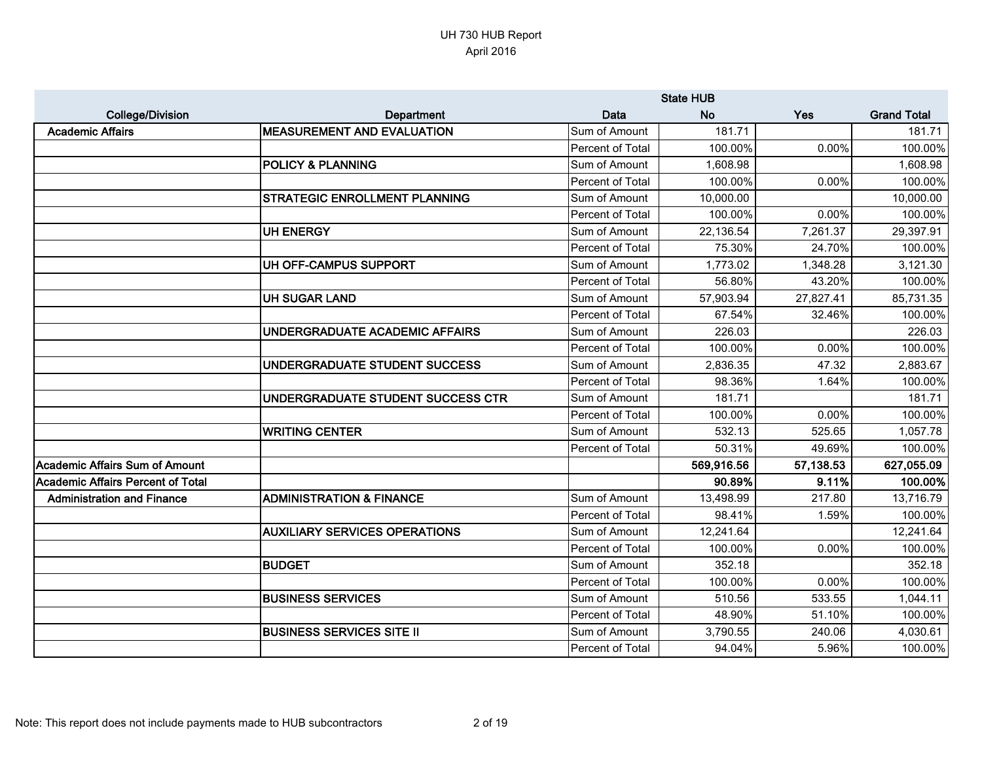|                                          |                                      |                  | <b>State HUB</b> |           |                    |
|------------------------------------------|--------------------------------------|------------------|------------------|-----------|--------------------|
| <b>College/Division</b>                  | Department                           | <b>Data</b>      | <b>No</b>        | Yes       | <b>Grand Total</b> |
| <b>Academic Affairs</b>                  | <b>MEASUREMENT AND EVALUATION</b>    | Sum of Amount    | 181.71           |           | 181.71             |
|                                          |                                      | Percent of Total | 100.00%          | 0.00%     | 100.00%            |
|                                          | <b>POLICY &amp; PLANNING</b>         | Sum of Amount    | 1,608.98         |           | 1,608.98           |
|                                          |                                      | Percent of Total | 100.00%          | 0.00%     | 100.00%            |
|                                          | <b>STRATEGIC ENROLLMENT PLANNING</b> | Sum of Amount    | 10,000.00        |           | 10,000.00          |
|                                          |                                      | Percent of Total | 100.00%          | 0.00%     | 100.00%            |
|                                          | <b>UH ENERGY</b>                     | Sum of Amount    | 22,136.54        | 7,261.37  | 29,397.91          |
|                                          |                                      | Percent of Total | 75.30%           | 24.70%    | 100.00%            |
|                                          | UH OFF-CAMPUS SUPPORT                | Sum of Amount    | 1,773.02         | 1,348.28  | 3,121.30           |
|                                          |                                      | Percent of Total | 56.80%           | 43.20%    | 100.00%            |
|                                          | <b>UH SUGAR LAND</b>                 | Sum of Amount    | 57,903.94        | 27,827.41 | 85,731.35          |
|                                          |                                      | Percent of Total | 67.54%           | 32.46%    | 100.00%            |
|                                          | UNDERGRADUATE ACADEMIC AFFAIRS       | Sum of Amount    | 226.03           |           | 226.03             |
|                                          |                                      | Percent of Total | 100.00%          | 0.00%     | 100.00%            |
|                                          | UNDERGRADUATE STUDENT SUCCESS        | Sum of Amount    | 2,836.35         | 47.32     | 2,883.67           |
|                                          |                                      | Percent of Total | 98.36%           | 1.64%     | 100.00%            |
|                                          | UNDERGRADUATE STUDENT SUCCESS CTR    | Sum of Amount    | 181.71           |           | 181.71             |
|                                          |                                      | Percent of Total | 100.00%          | 0.00%     | 100.00%            |
|                                          | <b>WRITING CENTER</b>                | Sum of Amount    | 532.13           | 525.65    | 1,057.78           |
|                                          |                                      | Percent of Total | 50.31%           | 49.69%    | 100.00%            |
| <b>Academic Affairs Sum of Amount</b>    |                                      |                  | 569,916.56       | 57,138.53 | 627,055.09         |
| <b>Academic Affairs Percent of Total</b> |                                      |                  | 90.89%           | 9.11%     | 100.00%            |
| <b>Administration and Finance</b>        | <b>ADMINISTRATION &amp; FINANCE</b>  | Sum of Amount    | 13,498.99        | 217.80    | 13,716.79          |
|                                          |                                      | Percent of Total | 98.41%           | 1.59%     | 100.00%            |
|                                          | <b>AUXILIARY SERVICES OPERATIONS</b> | Sum of Amount    | 12,241.64        |           | 12,241.64          |
|                                          |                                      | Percent of Total | 100.00%          | 0.00%     | 100.00%            |
|                                          | <b>BUDGET</b>                        | Sum of Amount    | 352.18           |           | 352.18             |
|                                          |                                      | Percent of Total | 100.00%          | 0.00%     | 100.00%            |
|                                          | <b>BUSINESS SERVICES</b>             | Sum of Amount    | 510.56           | 533.55    | 1,044.11           |
|                                          |                                      | Percent of Total | 48.90%           | 51.10%    | 100.00%            |
|                                          | <b>BUSINESS SERVICES SITE II</b>     | Sum of Amount    | 3,790.55         | 240.06    | 4,030.61           |
|                                          |                                      | Percent of Total | 94.04%           | 5.96%     | 100.00%            |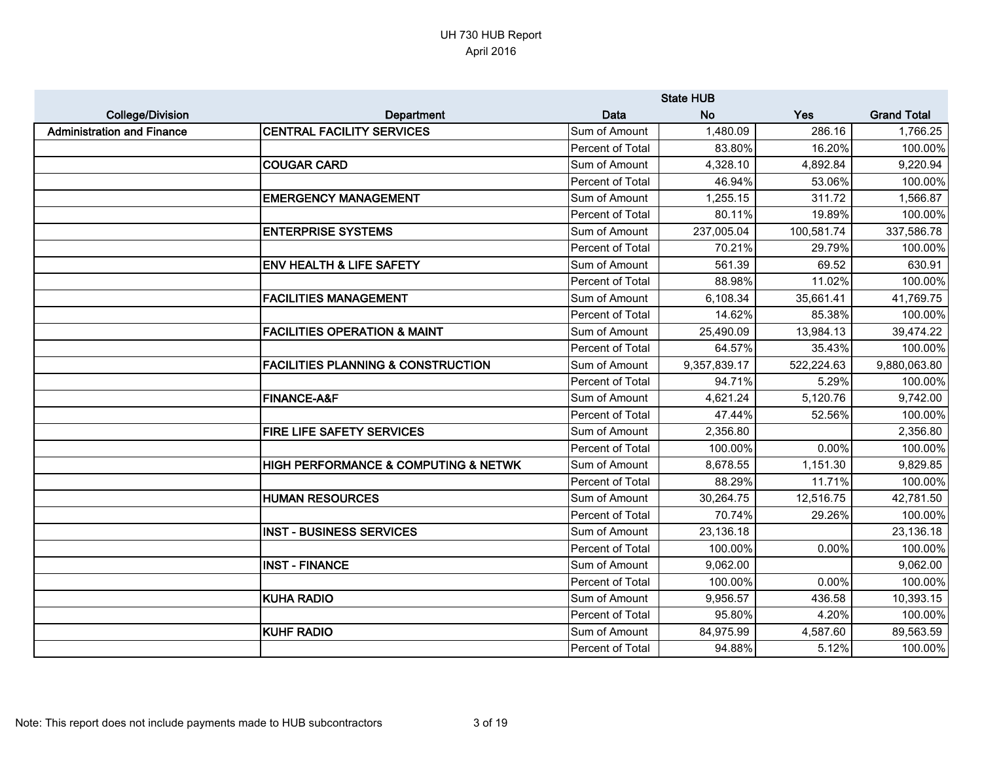|                                   |                                                     |                  | <b>State HUB</b> |            |                    |
|-----------------------------------|-----------------------------------------------------|------------------|------------------|------------|--------------------|
| <b>College/Division</b>           | Department                                          | <b>Data</b>      | <b>No</b>        | Yes        | <b>Grand Total</b> |
| <b>Administration and Finance</b> | <b>CENTRAL FACILITY SERVICES</b>                    | Sum of Amount    | 1,480.09         | 286.16     | 1,766.25           |
|                                   |                                                     | Percent of Total | 83.80%           | 16.20%     | 100.00%            |
|                                   | <b>COUGAR CARD</b>                                  | Sum of Amount    | 4,328.10         | 4,892.84   | 9,220.94           |
|                                   |                                                     | Percent of Total | 46.94%           | 53.06%     | 100.00%            |
|                                   | <b>EMERGENCY MANAGEMENT</b>                         | Sum of Amount    | 1,255.15         | 311.72     | 1,566.87           |
|                                   |                                                     | Percent of Total | 80.11%           | 19.89%     | 100.00%            |
|                                   | <b>ENTERPRISE SYSTEMS</b>                           | Sum of Amount    | 237,005.04       | 100,581.74 | 337,586.78         |
|                                   |                                                     | Percent of Total | 70.21%           | 29.79%     | 100.00%            |
|                                   | <b>ENV HEALTH &amp; LIFE SAFETY</b>                 | Sum of Amount    | 561.39           | 69.52      | 630.91             |
|                                   |                                                     | Percent of Total | 88.98%           | 11.02%     | 100.00%            |
|                                   | <b>FACILITIES MANAGEMENT</b>                        | Sum of Amount    | 6,108.34         | 35,661.41  | 41,769.75          |
|                                   |                                                     | Percent of Total | 14.62%           | 85.38%     | 100.00%            |
|                                   | <b>FACILITIES OPERATION &amp; MAINT</b>             | Sum of Amount    | 25,490.09        | 13,984.13  | 39,474.22          |
|                                   |                                                     | Percent of Total | 64.57%           | 35.43%     | 100.00%            |
|                                   | <b>FACILITIES PLANNING &amp; CONSTRUCTION</b>       | Sum of Amount    | 9,357,839.17     | 522,224.63 | 9,880,063.80       |
|                                   |                                                     | Percent of Total | 94.71%           | 5.29%      | 100.00%            |
|                                   | <b>FINANCE-A&amp;F</b>                              | Sum of Amount    | 4,621.24         | 5,120.76   | 9,742.00           |
|                                   |                                                     | Percent of Total | 47.44%           | 52.56%     | 100.00%            |
|                                   | <b>FIRE LIFE SAFETY SERVICES</b>                    | Sum of Amount    | 2,356.80         |            | 2,356.80           |
|                                   |                                                     | Percent of Total | 100.00%          | 0.00%      | 100.00%            |
|                                   | <b>HIGH PERFORMANCE &amp; COMPUTING &amp; NETWK</b> | Sum of Amount    | 8,678.55         | 1,151.30   | 9,829.85           |
|                                   |                                                     | Percent of Total | 88.29%           | 11.71%     | 100.00%            |
|                                   | <b>HUMAN RESOURCES</b>                              | Sum of Amount    | 30,264.75        | 12,516.75  | 42,781.50          |
|                                   |                                                     | Percent of Total | 70.74%           | 29.26%     | 100.00%            |
|                                   | <b>INST - BUSINESS SERVICES</b>                     | Sum of Amount    | 23,136.18        |            | 23,136.18          |
|                                   |                                                     | Percent of Total | 100.00%          | 0.00%      | 100.00%            |
|                                   | <b>INST - FINANCE</b>                               | Sum of Amount    | 9,062.00         |            | 9,062.00           |
|                                   |                                                     | Percent of Total | 100.00%          | 0.00%      | 100.00%            |
|                                   | <b>KUHA RADIO</b>                                   | Sum of Amount    | 9,956.57         | 436.58     | 10,393.15          |
|                                   |                                                     | Percent of Total | 95.80%           | 4.20%      | 100.00%            |
|                                   | <b>KUHF RADIO</b>                                   | Sum of Amount    | 84,975.99        | 4,587.60   | 89,563.59          |
|                                   |                                                     | Percent of Total | 94.88%           | 5.12%      | 100.00%            |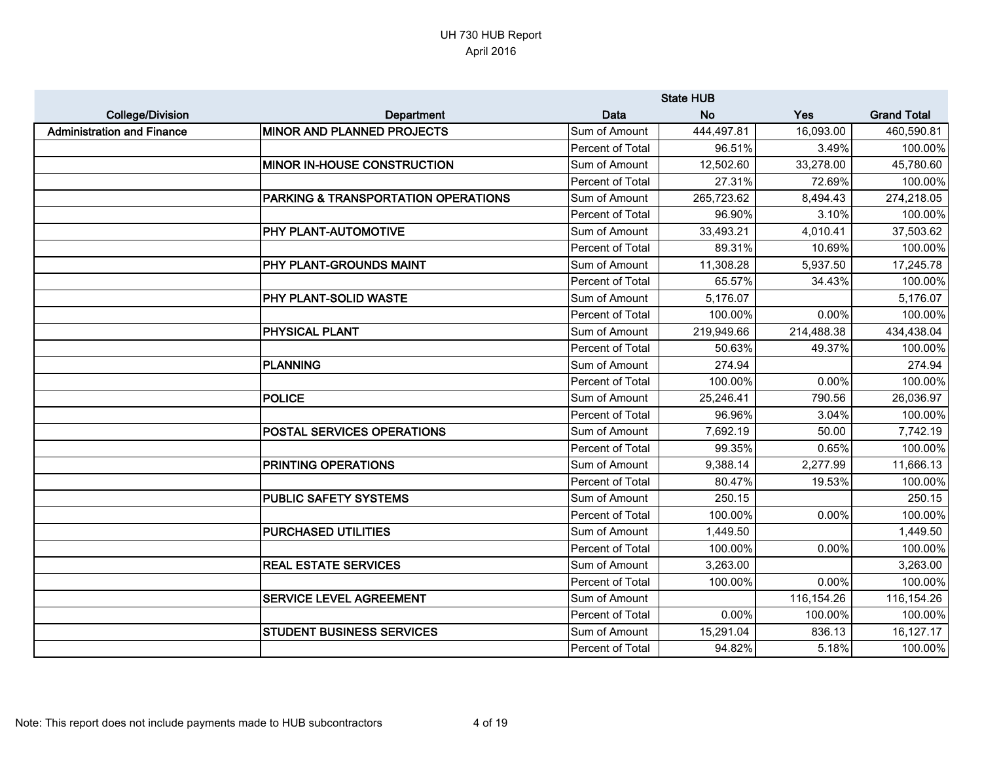|                                   |                                     |                         | <b>State HUB</b> |            |                    |
|-----------------------------------|-------------------------------------|-------------------------|------------------|------------|--------------------|
| <b>College/Division</b>           | Department                          | Data                    | <b>No</b>        | Yes        | <b>Grand Total</b> |
| <b>Administration and Finance</b> | <b>MINOR AND PLANNED PROJECTS</b>   | Sum of Amount           | 444,497.81       | 16,093.00  | 460,590.81         |
|                                   |                                     | Percent of Total        | 96.51%           | 3.49%      | 100.00%            |
|                                   | <b>MINOR IN-HOUSE CONSTRUCTION</b>  | Sum of Amount           | 12,502.60        | 33,278.00  | 45,780.60          |
|                                   |                                     | Percent of Total        | 27.31%           | 72.69%     | 100.00%            |
|                                   | PARKING & TRANSPORTATION OPERATIONS | Sum of Amount           | 265,723.62       | 8,494.43   | 274,218.05         |
|                                   |                                     | Percent of Total        | 96.90%           | 3.10%      | 100.00%            |
|                                   | PHY PLANT-AUTOMOTIVE                | Sum of Amount           | 33,493.21        | 4,010.41   | 37,503.62          |
|                                   |                                     | Percent of Total        | 89.31%           | 10.69%     | 100.00%            |
|                                   | PHY PLANT-GROUNDS MAINT             | Sum of Amount           | 11,308.28        | 5,937.50   | 17,245.78          |
|                                   |                                     | Percent of Total        | 65.57%           | 34.43%     | 100.00%            |
|                                   | PHY PLANT-SOLID WASTE               | Sum of Amount           | 5,176.07         |            | 5,176.07           |
|                                   |                                     | <b>Percent of Total</b> | 100.00%          | 0.00%      | 100.00%            |
|                                   | <b>PHYSICAL PLANT</b>               | Sum of Amount           | 219,949.66       | 214,488.38 | 434,438.04         |
|                                   |                                     | Percent of Total        | 50.63%           | 49.37%     | 100.00%            |
|                                   | <b>PLANNING</b>                     | Sum of Amount           | 274.94           |            | 274.94             |
|                                   |                                     | Percent of Total        | 100.00%          | 0.00%      | 100.00%            |
|                                   | <b>POLICE</b>                       | Sum of Amount           | 25,246.41        | 790.56     | 26,036.97          |
|                                   |                                     | Percent of Total        | 96.96%           | 3.04%      | 100.00%            |
|                                   | <b>POSTAL SERVICES OPERATIONS</b>   | Sum of Amount           | 7,692.19         | 50.00      | 7,742.19           |
|                                   |                                     | Percent of Total        | 99.35%           | 0.65%      | 100.00%            |
|                                   | PRINTING OPERATIONS                 | Sum of Amount           | 9,388.14         | 2,277.99   | 11,666.13          |
|                                   |                                     | Percent of Total        | 80.47%           | 19.53%     | 100.00%            |
|                                   | <b>PUBLIC SAFETY SYSTEMS</b>        | Sum of Amount           | 250.15           |            | 250.15             |
|                                   |                                     | Percent of Total        | 100.00%          | 0.00%      | 100.00%            |
|                                   | <b>PURCHASED UTILITIES</b>          | Sum of Amount           | 1,449.50         |            | 1,449.50           |
|                                   |                                     | Percent of Total        | 100.00%          | 0.00%      | 100.00%            |
|                                   | <b>REAL ESTATE SERVICES</b>         | Sum of Amount           | 3,263.00         |            | 3,263.00           |
|                                   |                                     | Percent of Total        | 100.00%          | 0.00%      | 100.00%            |
|                                   | <b>SERVICE LEVEL AGREEMENT</b>      | Sum of Amount           |                  | 116,154.26 | 116,154.26         |
|                                   |                                     | Percent of Total        | $0.00\%$         | 100.00%    | 100.00%            |
|                                   | <b>STUDENT BUSINESS SERVICES</b>    | Sum of Amount           | 15,291.04        | 836.13     | 16,127.17          |
|                                   |                                     | Percent of Total        | 94.82%           | 5.18%      | 100.00%            |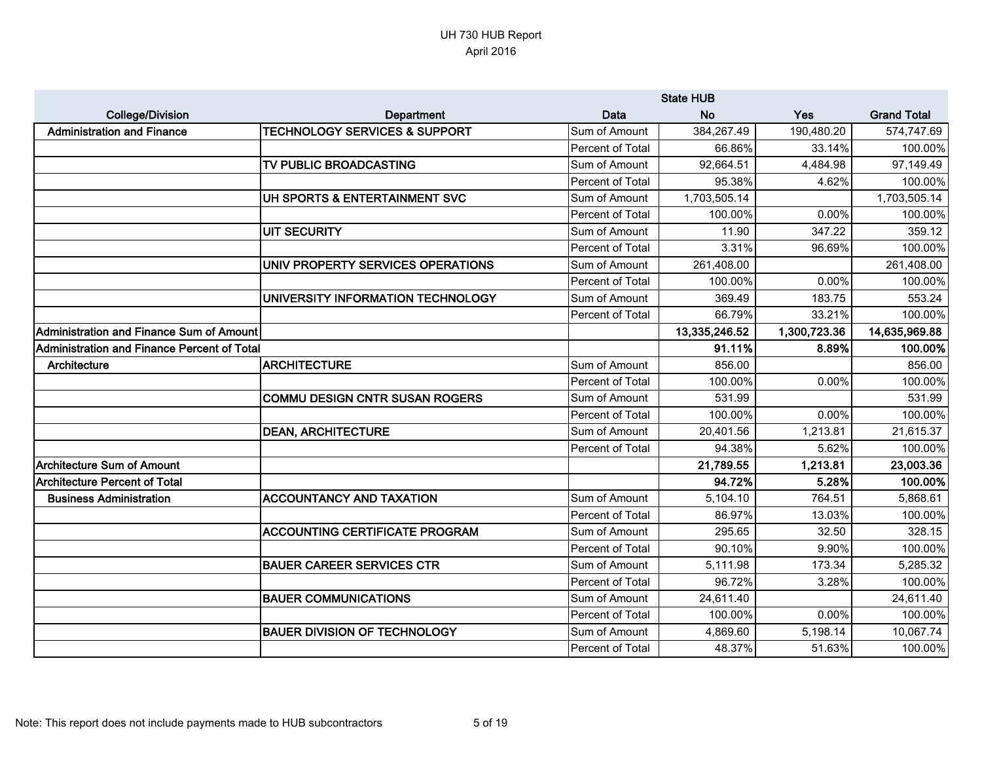|                                             |                                          |                  | <b>State HUB</b> |              |                    |
|---------------------------------------------|------------------------------------------|------------------|------------------|--------------|--------------------|
| <b>College/Division</b>                     | Department                               | <b>Data</b>      | <b>No</b>        | Yes          | <b>Grand Total</b> |
| <b>Administration and Finance</b>           | <b>TECHNOLOGY SERVICES &amp; SUPPORT</b> | Sum of Amount    | 384,267.49       | 190,480.20   | 574,747.69         |
|                                             |                                          | Percent of Total | 66.86%           | 33.14%       | 100.00%            |
|                                             | TV PUBLIC BROADCASTING                   | Sum of Amount    | 92,664.51        | 4,484.98     | 97,149.49          |
|                                             |                                          | Percent of Total | 95.38%           | 4.62%        | 100.00%            |
|                                             | UH SPORTS & ENTERTAINMENT SVC            | Sum of Amount    | 1,703,505.14     |              | 1,703,505.14       |
|                                             |                                          | Percent of Total | 100.00%          | 0.00%        | 100.00%            |
|                                             | <b>UIT SECURITY</b>                      | Sum of Amount    | 11.90            | 347.22       | 359.12             |
|                                             |                                          | Percent of Total | 3.31%            | 96.69%       | 100.00%            |
|                                             | UNIV PROPERTY SERVICES OPERATIONS        | Sum of Amount    | 261,408.00       |              | 261,408.00         |
|                                             |                                          | Percent of Total | 100.00%          | 0.00%        | 100.00%            |
|                                             | UNIVERSITY INFORMATION TECHNOLOGY        | Sum of Amount    | 369.49           | 183.75       | 553.24             |
|                                             |                                          | Percent of Total | 66.79%           | 33.21%       | 100.00%            |
| Administration and Finance Sum of Amount    |                                          |                  | 13,335,246.52    | 1,300,723.36 | 14,635,969.88      |
| Administration and Finance Percent of Total |                                          |                  | 91.11%           | 8.89%        | 100.00%            |
| Architecture                                | <b>ARCHITECTURE</b>                      | Sum of Amount    | 856.00           |              | 856.00             |
|                                             |                                          | Percent of Total | 100.00%          | 0.00%        | 100.00%            |
|                                             | <b>COMMU DESIGN CNTR SUSAN ROGERS</b>    | Sum of Amount    | 531.99           |              | 531.99             |
|                                             |                                          | Percent of Total | 100.00%          | 0.00%        | 100.00%            |
|                                             | <b>DEAN, ARCHITECTURE</b>                | Sum of Amount    | 20,401.56        | 1,213.81     | 21,615.37          |
|                                             |                                          | Percent of Total | 94.38%           | 5.62%        | 100.00%            |
| <b>Architecture Sum of Amount</b>           |                                          |                  | 21,789.55        | 1,213.81     | 23,003.36          |
| <b>Architecture Percent of Total</b>        |                                          |                  | 94.72%           | 5.28%        | 100.00%            |
| <b>Business Administration</b>              | <b>ACCOUNTANCY AND TAXATION</b>          | Sum of Amount    | 5,104.10         | 764.51       | 5,868.61           |
|                                             |                                          | Percent of Total | 86.97%           | 13.03%       | 100.00%            |
|                                             | <b>ACCOUNTING CERTIFICATE PROGRAM</b>    | Sum of Amount    | 295.65           | 32.50        | 328.15             |
|                                             |                                          | Percent of Total | 90.10%           | 9.90%        | 100.00%            |
|                                             | <b>BAUER CAREER SERVICES CTR</b>         | Sum of Amount    | 5,111.98         | 173.34       | 5,285.32           |
|                                             |                                          | Percent of Total | 96.72%           | 3.28%        | 100.00%            |
|                                             | <b>BAUER COMMUNICATIONS</b>              | Sum of Amount    | 24,611.40        |              | 24,611.40          |
|                                             |                                          | Percent of Total | 100.00%          | 0.00%        | 100.00%            |
|                                             | <b>BAUER DIVISION OF TECHNOLOGY</b>      | Sum of Amount    | 4,869.60         | 5,198.14     | 10,067.74          |
|                                             |                                          | Percent of Total | 48.37%           | 51.63%       | 100.00%            |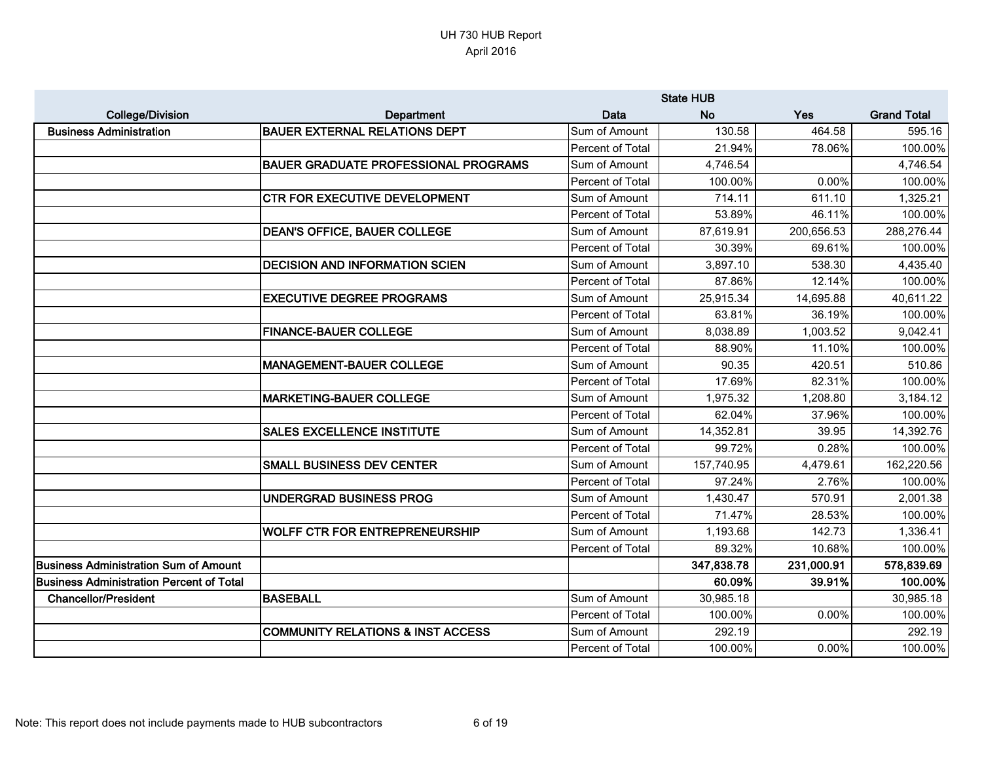|                                                 |                                              |                  | <b>State HUB</b> |            |                    |
|-------------------------------------------------|----------------------------------------------|------------------|------------------|------------|--------------------|
| <b>College/Division</b>                         | <b>Department</b>                            | <b>Data</b>      | <b>No</b>        | Yes        | <b>Grand Total</b> |
| <b>Business Administration</b>                  | <b>BAUER EXTERNAL RELATIONS DEPT</b>         | Sum of Amount    | 130.58           | 464.58     | 595.16             |
|                                                 |                                              | Percent of Total | 21.94%           | 78.06%     | 100.00%            |
|                                                 | <b>BAUER GRADUATE PROFESSIONAL PROGRAMS</b>  | Sum of Amount    | 4,746.54         |            | 4,746.54           |
|                                                 |                                              | Percent of Total | 100.00%          | 0.00%      | 100.00%            |
|                                                 | CTR FOR EXECUTIVE DEVELOPMENT                | Sum of Amount    | 714.11           | 611.10     | 1,325.21           |
|                                                 |                                              | Percent of Total | 53.89%           | 46.11%     | 100.00%            |
|                                                 | <b>DEAN'S OFFICE, BAUER COLLEGE</b>          | Sum of Amount    | 87,619.91        | 200,656.53 | 288,276.44         |
|                                                 |                                              | Percent of Total | 30.39%           | 69.61%     | 100.00%            |
|                                                 | <b>DECISION AND INFORMATION SCIEN</b>        | Sum of Amount    | 3,897.10         | 538.30     | 4,435.40           |
|                                                 |                                              | Percent of Total | 87.86%           | 12.14%     | 100.00%            |
|                                                 | <b>EXECUTIVE DEGREE PROGRAMS</b>             | Sum of Amount    | 25,915.34        | 14,695.88  | 40,611.22          |
|                                                 |                                              | Percent of Total | 63.81%           | 36.19%     | 100.00%            |
|                                                 | <b>FINANCE-BAUER COLLEGE</b>                 | Sum of Amount    | 8,038.89         | 1,003.52   | 9,042.41           |
|                                                 |                                              | Percent of Total | 88.90%           | 11.10%     | 100.00%            |
|                                                 | <b>MANAGEMENT-BAUER COLLEGE</b>              | Sum of Amount    | 90.35            | 420.51     | 510.86             |
|                                                 |                                              | Percent of Total | 17.69%           | 82.31%     | 100.00%            |
|                                                 | <b>MARKETING-BAUER COLLEGE</b>               | Sum of Amount    | 1,975.32         | 1,208.80   | 3,184.12           |
|                                                 |                                              | Percent of Total | 62.04%           | 37.96%     | 100.00%            |
|                                                 | <b>SALES EXCELLENCE INSTITUTE</b>            | Sum of Amount    | 14,352.81        | 39.95      | 14,392.76          |
|                                                 |                                              | Percent of Total | 99.72%           | 0.28%      | 100.00%            |
|                                                 | <b>SMALL BUSINESS DEV CENTER</b>             | Sum of Amount    | 157,740.95       | 4,479.61   | 162,220.56         |
|                                                 |                                              | Percent of Total | 97.24%           | 2.76%      | 100.00%            |
|                                                 | <b>UNDERGRAD BUSINESS PROG</b>               | Sum of Amount    | 1,430.47         | 570.91     | 2,001.38           |
|                                                 |                                              | Percent of Total | 71.47%           | 28.53%     | 100.00%            |
|                                                 | <b>WOLFF CTR FOR ENTREPRENEURSHIP</b>        | Sum of Amount    | 1,193.68         | 142.73     | 1,336.41           |
|                                                 |                                              | Percent of Total | 89.32%           | 10.68%     | 100.00%            |
| <b>Business Administration Sum of Amount</b>    |                                              |                  | 347,838.78       | 231,000.91 | 578,839.69         |
| <b>Business Administration Percent of Total</b> |                                              |                  | 60.09%           | 39.91%     | 100.00%            |
| <b>Chancellor/President</b>                     | <b>BASEBALL</b>                              | Sum of Amount    | 30,985.18        |            | 30,985.18          |
|                                                 |                                              | Percent of Total | 100.00%          | 0.00%      | 100.00%            |
|                                                 | <b>COMMUNITY RELATIONS &amp; INST ACCESS</b> | Sum of Amount    | 292.19           |            | 292.19             |
|                                                 |                                              | Percent of Total | 100.00%          | 0.00%      | 100.00%            |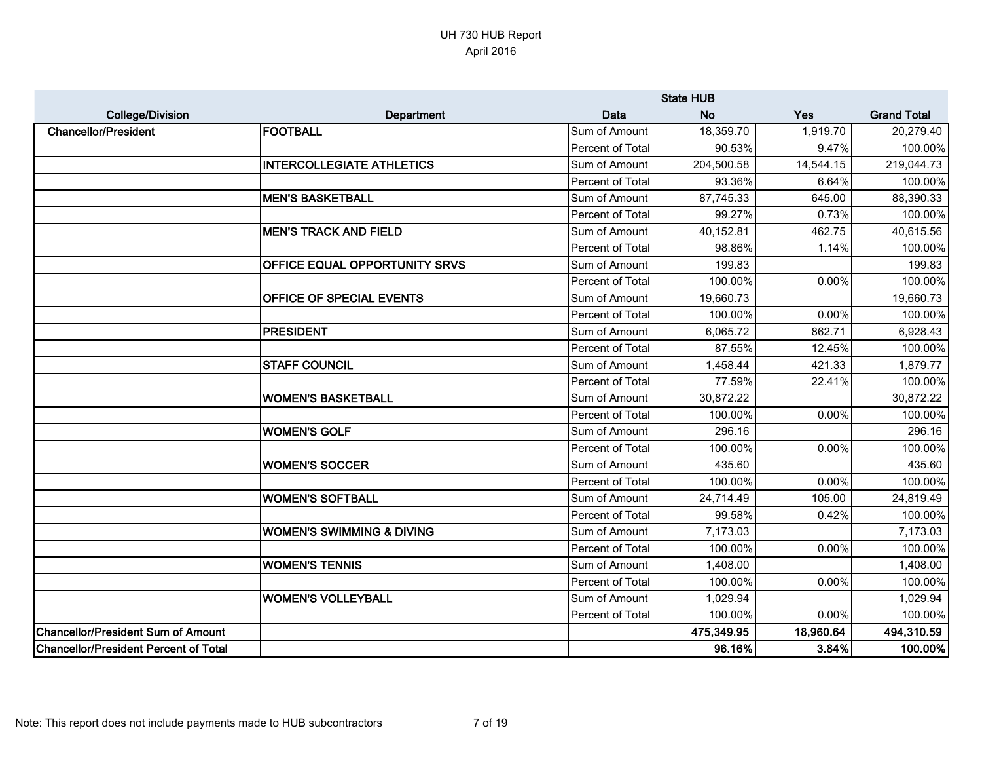|                                              |                                      |                  | <b>State HUB</b> |           |                    |
|----------------------------------------------|--------------------------------------|------------------|------------------|-----------|--------------------|
| <b>College/Division</b>                      | Department                           | <b>Data</b>      | <b>No</b>        | Yes       | <b>Grand Total</b> |
| <b>Chancellor/President</b>                  | <b>FOOTBALL</b>                      | Sum of Amount    | 18,359.70        | 1,919.70  | 20,279.40          |
|                                              |                                      | Percent of Total | 90.53%           | 9.47%     | 100.00%            |
|                                              | <b>INTERCOLLEGIATE ATHLETICS</b>     | Sum of Amount    | 204,500.58       | 14,544.15 | 219,044.73         |
|                                              |                                      | Percent of Total | 93.36%           | 6.64%     | 100.00%            |
|                                              | <b>MEN'S BASKETBALL</b>              | Sum of Amount    | 87,745.33        | 645.00    | 88,390.33          |
|                                              |                                      | Percent of Total | 99.27%           | 0.73%     | 100.00%            |
|                                              | <b>MEN'S TRACK AND FIELD</b>         | Sum of Amount    | 40,152.81        | 462.75    | 40,615.56          |
|                                              |                                      | Percent of Total | 98.86%           | 1.14%     | 100.00%            |
|                                              | OFFICE EQUAL OPPORTUNITY SRVS        | Sum of Amount    | 199.83           |           | 199.83             |
|                                              |                                      | Percent of Total | 100.00%          | 0.00%     | 100.00%            |
|                                              | OFFICE OF SPECIAL EVENTS             | Sum of Amount    | 19,660.73        |           | 19,660.73          |
|                                              |                                      | Percent of Total | 100.00%          | 0.00%     | 100.00%            |
|                                              | PRESIDENT                            | Sum of Amount    | 6,065.72         | 862.71    | 6,928.43           |
|                                              |                                      | Percent of Total | 87.55%           | 12.45%    | 100.00%            |
|                                              | <b>STAFF COUNCIL</b>                 | Sum of Amount    | 1,458.44         | 421.33    | 1,879.77           |
|                                              |                                      | Percent of Total | 77.59%           | 22.41%    | 100.00%            |
|                                              | <b>WOMEN'S BASKETBALL</b>            | Sum of Amount    | 30,872.22        |           | 30,872.22          |
|                                              |                                      | Percent of Total | 100.00%          | 0.00%     | 100.00%            |
|                                              | <b>WOMEN'S GOLF</b>                  | Sum of Amount    | 296.16           |           | 296.16             |
|                                              |                                      | Percent of Total | 100.00%          | 0.00%     | 100.00%            |
|                                              | <b>WOMEN'S SOCCER</b>                | Sum of Amount    | 435.60           |           | 435.60             |
|                                              |                                      | Percent of Total | 100.00%          | 0.00%     | 100.00%            |
|                                              | <b>WOMEN'S SOFTBALL</b>              | Sum of Amount    | 24,714.49        | 105.00    | 24,819.49          |
|                                              |                                      | Percent of Total | 99.58%           | 0.42%     | 100.00%            |
|                                              | <b>WOMEN'S SWIMMING &amp; DIVING</b> | Sum of Amount    | 7,173.03         |           | 7,173.03           |
|                                              |                                      | Percent of Total | 100.00%          | 0.00%     | 100.00%            |
|                                              | <b>WOMEN'S TENNIS</b>                | Sum of Amount    | 1,408.00         |           | 1,408.00           |
|                                              |                                      | Percent of Total | 100.00%          | 0.00%     | 100.00%            |
|                                              | <b>WOMEN'S VOLLEYBALL</b>            | Sum of Amount    | 1,029.94         |           | 1,029.94           |
|                                              |                                      | Percent of Total | 100.00%          | 0.00%     | 100.00%            |
| <b>Chancellor/President Sum of Amount</b>    |                                      |                  | 475,349.95       | 18,960.64 | 494,310.59         |
| <b>Chancellor/President Percent of Total</b> |                                      |                  | 96.16%           | 3.84%     | 100.00%            |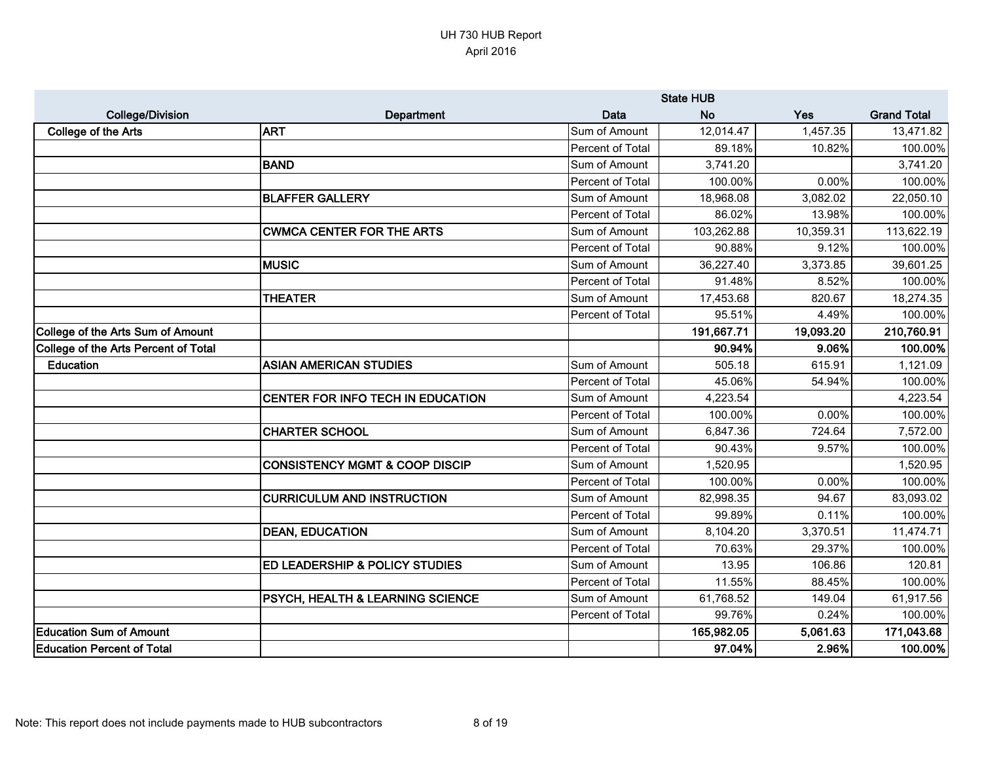|                                          |                                             |                  | <b>State HUB</b> |           |                    |
|------------------------------------------|---------------------------------------------|------------------|------------------|-----------|--------------------|
| <b>College/Division</b>                  | <b>Department</b>                           | <b>Data</b>      | <b>No</b>        | Yes       | <b>Grand Total</b> |
| <b>College of the Arts</b>               | <b>ART</b>                                  | Sum of Amount    | 12,014.47        | 1,457.35  | 13,471.82          |
|                                          |                                             | Percent of Total | 89.18%           | 10.82%    | 100.00%            |
|                                          | BAND                                        | Sum of Amount    | 3,741.20         |           | 3,741.20           |
|                                          |                                             | Percent of Total | 100.00%          | 0.00%     | 100.00%            |
|                                          | <b>BLAFFER GALLERY</b>                      | Sum of Amount    | 18,968.08        | 3,082.02  | 22,050.10          |
|                                          |                                             | Percent of Total | 86.02%           | 13.98%    | 100.00%            |
|                                          | <b>CWMCA CENTER FOR THE ARTS</b>            | Sum of Amount    | 103,262.88       | 10,359.31 | 113,622.19         |
|                                          |                                             | Percent of Total | 90.88%           | 9.12%     | 100.00%            |
|                                          | <b>MUSIC</b>                                | Sum of Amount    | 36,227.40        | 3,373.85  | 39,601.25          |
|                                          |                                             | Percent of Total | 91.48%           | 8.52%     | 100.00%            |
|                                          | <b>THEATER</b>                              | Sum of Amount    | 17,453.68        | 820.67    | 18,274.35          |
|                                          |                                             | Percent of Total | 95.51%           | 4.49%     | 100.00%            |
| <b>College of the Arts Sum of Amount</b> |                                             |                  | 191,667.71       | 19,093.20 | 210,760.91         |
| College of the Arts Percent of Total     |                                             |                  | 90.94%           | 9.06%     | 100.00%            |
| <b>Education</b>                         | <b>ASIAN AMERICAN STUDIES</b>               | Sum of Amount    | 505.18           | 615.91    | 1,121.09           |
|                                          |                                             | Percent of Total | 45.06%           | 54.94%    | 100.00%            |
|                                          | CENTER FOR INFO TECH IN EDUCATION           | Sum of Amount    | 4,223.54         |           | 4,223.54           |
|                                          |                                             | Percent of Total | 100.00%          | 0.00%     | 100.00%            |
|                                          | <b>CHARTER SCHOOL</b>                       | Sum of Amount    | 6,847.36         | 724.64    | 7,572.00           |
|                                          |                                             | Percent of Total | 90.43%           | 9.57%     | 100.00%            |
|                                          | <b>CONSISTENCY MGMT &amp; COOP DISCIP</b>   | Sum of Amount    | 1,520.95         |           | 1,520.95           |
|                                          |                                             | Percent of Total | 100.00%          | 0.00%     | 100.00%            |
|                                          | <b>CURRICULUM AND INSTRUCTION</b>           | Sum of Amount    | 82,998.35        | 94.67     | 83,093.02          |
|                                          |                                             | Percent of Total | 99.89%           | 0.11%     | 100.00%            |
|                                          | <b>DEAN, EDUCATION</b>                      | Sum of Amount    | 8,104.20         | 3,370.51  | 11,474.71          |
|                                          |                                             | Percent of Total | 70.63%           | 29.37%    | 100.00%            |
|                                          | <b>ED LEADERSHIP &amp; POLICY STUDIES</b>   | Sum of Amount    | 13.95            | 106.86    | 120.81             |
|                                          |                                             | Percent of Total | 11.55%           | 88.45%    | 100.00%            |
|                                          | <b>PSYCH, HEALTH &amp; LEARNING SCIENCE</b> | Sum of Amount    | 61,768.52        | 149.04    | 61,917.56          |
|                                          |                                             | Percent of Total | 99.76%           | 0.24%     | 100.00%            |
| <b>Education Sum of Amount</b>           |                                             |                  | 165,982.05       | 5,061.63  | 171,043.68         |
| <b>Education Percent of Total</b>        |                                             |                  | 97.04%           | 2.96%     | 100.00%            |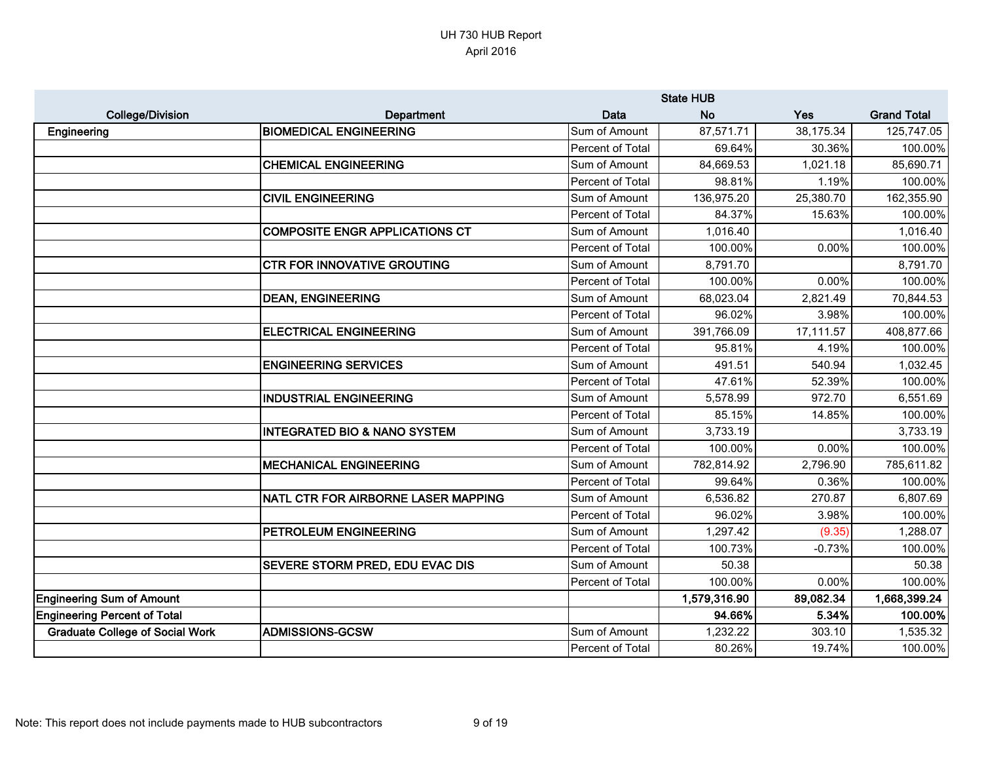|                                        |                                         |                  | <b>State HUB</b> |           |                    |
|----------------------------------------|-----------------------------------------|------------------|------------------|-----------|--------------------|
| <b>College/Division</b>                | Department                              | Data             | <b>No</b>        | Yes       | <b>Grand Total</b> |
| Engineering                            | <b>BIOMEDICAL ENGINEERING</b>           | Sum of Amount    | 87,571.71        | 38,175.34 | 125,747.05         |
|                                        |                                         | Percent of Total | 69.64%           | 30.36%    | 100.00%            |
|                                        | <b>CHEMICAL ENGINEERING</b>             | Sum of Amount    | 84,669.53        | 1,021.18  | 85,690.71          |
|                                        |                                         | Percent of Total | 98.81%           | 1.19%     | 100.00%            |
|                                        | <b>CIVIL ENGINEERING</b>                | Sum of Amount    | 136,975.20       | 25,380.70 | 162,355.90         |
|                                        |                                         | Percent of Total | 84.37%           | 15.63%    | 100.00%            |
|                                        | <b>COMPOSITE ENGR APPLICATIONS CT</b>   | Sum of Amount    | 1,016.40         |           | 1,016.40           |
|                                        |                                         | Percent of Total | 100.00%          | 0.00%     | 100.00%            |
|                                        | <b>CTR FOR INNOVATIVE GROUTING</b>      | Sum of Amount    | 8,791.70         |           | 8,791.70           |
|                                        |                                         | Percent of Total | 100.00%          | 0.00%     | 100.00%            |
|                                        | <b>DEAN, ENGINEERING</b>                | Sum of Amount    | 68,023.04        | 2,821.49  | 70,844.53          |
|                                        |                                         | Percent of Total | 96.02%           | 3.98%     | 100.00%            |
|                                        | <b>ELECTRICAL ENGINEERING</b>           | Sum of Amount    | 391,766.09       | 17,111.57 | 408,877.66         |
|                                        |                                         | Percent of Total | 95.81%           | 4.19%     | 100.00%            |
|                                        | <b>ENGINEERING SERVICES</b>             | Sum of Amount    | 491.51           | 540.94    | 1,032.45           |
|                                        |                                         | Percent of Total | 47.61%           | 52.39%    | 100.00%            |
|                                        | <b>INDUSTRIAL ENGINEERING</b>           | Sum of Amount    | 5,578.99         | 972.70    | 6,551.69           |
|                                        |                                         | Percent of Total | 85.15%           | 14.85%    | 100.00%            |
|                                        | <b>INTEGRATED BIO &amp; NANO SYSTEM</b> | Sum of Amount    | 3,733.19         |           | 3,733.19           |
|                                        |                                         | Percent of Total | 100.00%          | 0.00%     | 100.00%            |
|                                        | <b>MECHANICAL ENGINEERING</b>           | Sum of Amount    | 782,814.92       | 2,796.90  | 785,611.82         |
|                                        |                                         | Percent of Total | 99.64%           | 0.36%     | 100.00%            |
|                                        | NATL CTR FOR AIRBORNE LASER MAPPING     | Sum of Amount    | 6,536.82         | 270.87    | 6,807.69           |
|                                        |                                         | Percent of Total | 96.02%           | 3.98%     | 100.00%            |
|                                        | PETROLEUM ENGINEERING                   | Sum of Amount    | 1,297.42         | (9.35)    | 1,288.07           |
|                                        |                                         | Percent of Total | 100.73%          | $-0.73%$  | 100.00%            |
|                                        | <b>SEVERE STORM PRED, EDU EVAC DIS</b>  | Sum of Amount    | 50.38            |           | 50.38              |
|                                        |                                         | Percent of Total | 100.00%          | 0.00%     | 100.00%            |
| <b>Engineering Sum of Amount</b>       |                                         |                  | 1,579,316.90     | 89,082.34 | 1,668,399.24       |
| <b>Engineering Percent of Total</b>    |                                         |                  | 94.66%           | 5.34%     | 100.00%            |
| <b>Graduate College of Social Work</b> | <b>ADMISSIONS-GCSW</b>                  | Sum of Amount    | 1,232.22         | 303.10    | 1,535.32           |
|                                        |                                         | Percent of Total | 80.26%           | 19.74%    | 100.00%            |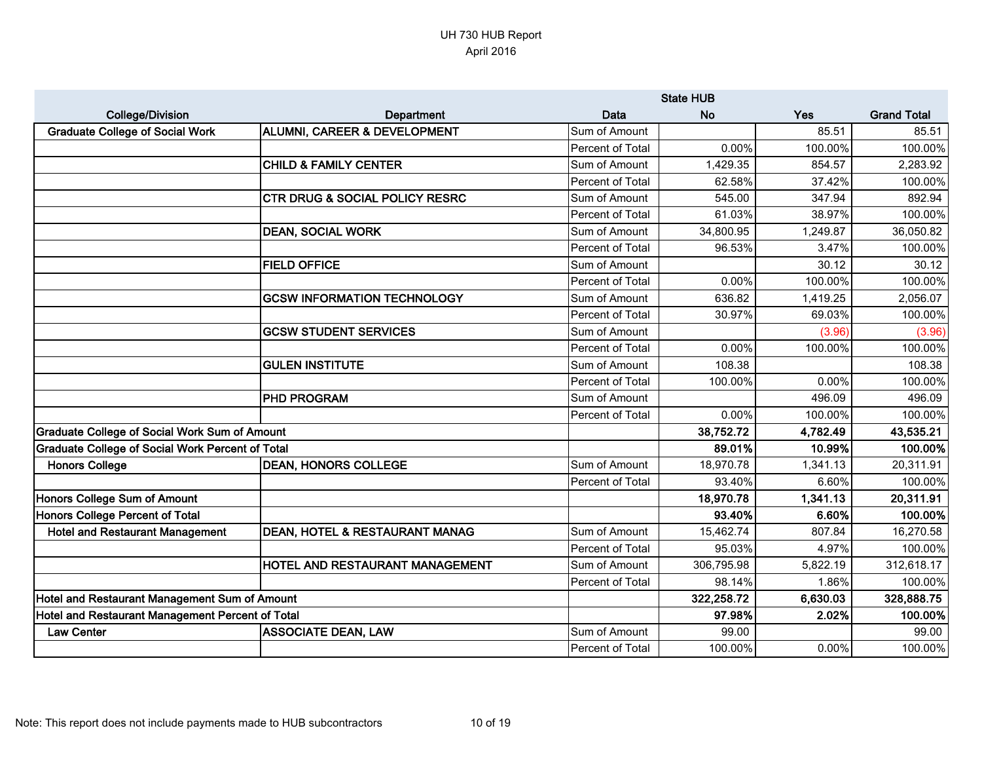|                                                         |                                           |                  | <b>State HUB</b> |          |                    |
|---------------------------------------------------------|-------------------------------------------|------------------|------------------|----------|--------------------|
| <b>College/Division</b>                                 | <b>Department</b>                         | <b>Data</b>      | <b>No</b>        | Yes      | <b>Grand Total</b> |
| <b>Graduate College of Social Work</b>                  | <b>ALUMNI, CAREER &amp; DEVELOPMENT</b>   | Sum of Amount    |                  | 85.51    | 85.51              |
|                                                         |                                           | Percent of Total | 0.00%            | 100.00%  | 100.00%            |
|                                                         | <b>CHILD &amp; FAMILY CENTER</b>          | Sum of Amount    | 1,429.35         | 854.57   | 2,283.92           |
|                                                         |                                           | Percent of Total | 62.58%           | 37.42%   | 100.00%            |
|                                                         | <b>CTR DRUG &amp; SOCIAL POLICY RESRC</b> | Sum of Amount    | 545.00           | 347.94   | 892.94             |
|                                                         |                                           | Percent of Total | 61.03%           | 38.97%   | 100.00%            |
|                                                         | <b>DEAN, SOCIAL WORK</b>                  | Sum of Amount    | 34,800.95        | 1,249.87 | 36,050.82          |
|                                                         |                                           | Percent of Total | 96.53%           | 3.47%    | 100.00%            |
|                                                         | <b>FIELD OFFICE</b>                       | Sum of Amount    |                  | 30.12    | 30.12              |
|                                                         |                                           | Percent of Total | 0.00%            | 100.00%  | 100.00%            |
|                                                         | <b>GCSW INFORMATION TECHNOLOGY</b>        | Sum of Amount    | 636.82           | 1,419.25 | 2,056.07           |
|                                                         |                                           | Percent of Total | 30.97%           | 69.03%   | 100.00%            |
|                                                         | <b>GCSW STUDENT SERVICES</b>              | Sum of Amount    |                  | (3.96)   | (3.96)             |
|                                                         |                                           | Percent of Total | 0.00%            | 100.00%  | 100.00%            |
|                                                         | <b>GULEN INSTITUTE</b>                    | Sum of Amount    | 108.38           |          | 108.38             |
|                                                         |                                           | Percent of Total | 100.00%          | 0.00%    | 100.00%            |
|                                                         | <b>PHD PROGRAM</b>                        | Sum of Amount    |                  | 496.09   | 496.09             |
|                                                         |                                           | Percent of Total | 0.00%            | 100.00%  | 100.00%            |
| <b>Graduate College of Social Work Sum of Amount</b>    |                                           |                  | 38,752.72        | 4,782.49 | 43,535.21          |
| <b>Graduate College of Social Work Percent of Total</b> |                                           |                  | 89.01%           | 10.99%   | 100.00%            |
| <b>Honors College</b>                                   | <b>DEAN, HONORS COLLEGE</b>               | Sum of Amount    | 18,970.78        | 1,341.13 | 20,311.91          |
|                                                         |                                           | Percent of Total | 93.40%           | 6.60%    | 100.00%            |
| Honors College Sum of Amount                            |                                           |                  | 18,970.78        | 1,341.13 | 20,311.91          |
| Honors College Percent of Total                         |                                           |                  | 93.40%           | 6.60%    | 100.00%            |
| <b>Hotel and Restaurant Management</b>                  | <b>DEAN, HOTEL &amp; RESTAURANT MANAG</b> | Sum of Amount    | 15,462.74        | 807.84   | 16,270.58          |
|                                                         |                                           | Percent of Total | 95.03%           | 4.97%    | 100.00%            |
|                                                         | <b>HOTEL AND RESTAURANT MANAGEMENT</b>    | Sum of Amount    | 306,795.98       | 5,822.19 | 312,618.17         |
|                                                         |                                           | Percent of Total | 98.14%           | 1.86%    | 100.00%            |
| Hotel and Restaurant Management Sum of Amount           |                                           |                  | 322,258.72       | 6,630.03 | 328,888.75         |
| Hotel and Restaurant Management Percent of Total        |                                           |                  | 97.98%           | 2.02%    | 100.00%            |
| <b>Law Center</b>                                       | <b>ASSOCIATE DEAN, LAW</b>                | Sum of Amount    | 99.00            |          | 99.00              |
|                                                         |                                           | Percent of Total | 100.00%          | 0.00%    | 100.00%            |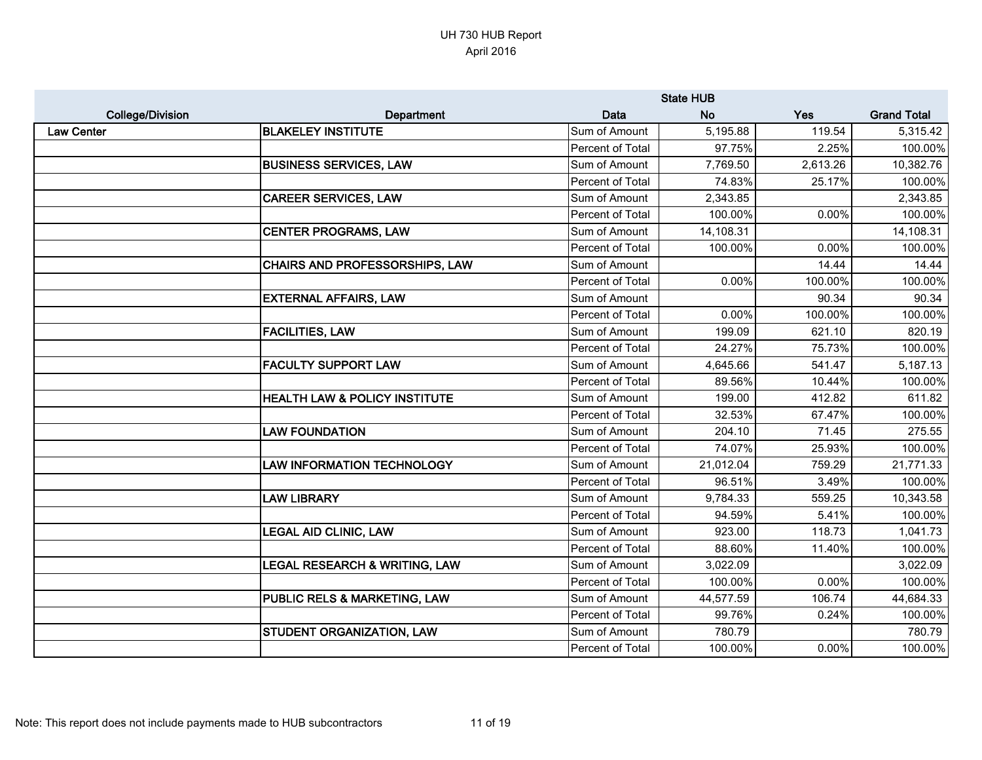|                         |                                          |                  | <b>State HUB</b> |          |                    |
|-------------------------|------------------------------------------|------------------|------------------|----------|--------------------|
| <b>College/Division</b> | Department                               | Data             | <b>No</b>        | Yes      | <b>Grand Total</b> |
| <b>Law Center</b>       | <b>BLAKELEY INSTITUTE</b>                | Sum of Amount    | 5,195.88         | 119.54   | 5,315.42           |
|                         |                                          | Percent of Total | 97.75%           | 2.25%    | 100.00%            |
|                         | <b>BUSINESS SERVICES, LAW</b>            | Sum of Amount    | 7,769.50         | 2,613.26 | 10,382.76          |
|                         |                                          | Percent of Total | 74.83%           | 25.17%   | 100.00%            |
|                         | <b>CAREER SERVICES, LAW</b>              | Sum of Amount    | 2,343.85         |          | 2,343.85           |
|                         |                                          | Percent of Total | 100.00%          | 0.00%    | 100.00%            |
|                         | <b>CENTER PROGRAMS, LAW</b>              | Sum of Amount    | 14,108.31        |          | 14,108.31          |
|                         |                                          | Percent of Total | 100.00%          | 0.00%    | 100.00%            |
|                         | <b>CHAIRS AND PROFESSORSHIPS, LAW</b>    | Sum of Amount    |                  | 14.44    | 14.44              |
|                         |                                          | Percent of Total | 0.00%            | 100.00%  | 100.00%            |
|                         | <b>EXTERNAL AFFAIRS, LAW</b>             | Sum of Amount    |                  | 90.34    | 90.34              |
|                         |                                          | Percent of Total | 0.00%            | 100.00%  | 100.00%            |
|                         | <b>FACILITIES, LAW</b>                   | Sum of Amount    | 199.09           | 621.10   | 820.19             |
|                         |                                          | Percent of Total | 24.27%           | 75.73%   | 100.00%            |
|                         | <b>FACULTY SUPPORT LAW</b>               | Sum of Amount    | 4,645.66         | 541.47   | 5,187.13           |
|                         |                                          | Percent of Total | 89.56%           | 10.44%   | 100.00%            |
|                         | <b>HEALTH LAW &amp; POLICY INSTITUTE</b> | Sum of Amount    | 199.00           | 412.82   | 611.82             |
|                         |                                          | Percent of Total | 32.53%           | 67.47%   | 100.00%            |
|                         | <b>LAW FOUNDATION</b>                    | Sum of Amount    | 204.10           | 71.45    | 275.55             |
|                         |                                          | Percent of Total | 74.07%           | 25.93%   | 100.00%            |
|                         | <b>LAW INFORMATION TECHNOLOGY</b>        | Sum of Amount    | 21,012.04        | 759.29   | 21,771.33          |
|                         |                                          | Percent of Total | 96.51%           | 3.49%    | 100.00%            |
|                         | <b>LAW LIBRARY</b>                       | Sum of Amount    | 9,784.33         | 559.25   | 10,343.58          |
|                         |                                          | Percent of Total | 94.59%           | 5.41%    | 100.00%            |
|                         | <b>LEGAL AID CLINIC, LAW</b>             | Sum of Amount    | 923.00           | 118.73   | 1,041.73           |
|                         |                                          | Percent of Total | 88.60%           | 11.40%   | 100.00%            |
|                         | <b>LEGAL RESEARCH &amp; WRITING, LAW</b> | Sum of Amount    | 3,022.09         |          | 3,022.09           |
|                         |                                          | Percent of Total | 100.00%          | 0.00%    | 100.00%            |
|                         | <b>PUBLIC RELS &amp; MARKETING, LAW</b>  | Sum of Amount    | 44,577.59        | 106.74   | 44,684.33          |
|                         |                                          | Percent of Total | 99.76%           | 0.24%    | 100.00%            |
|                         | <b>STUDENT ORGANIZATION, LAW</b>         | Sum of Amount    | 780.79           |          | 780.79             |
|                         |                                          | Percent of Total | 100.00%          | 0.00%    | 100.00%            |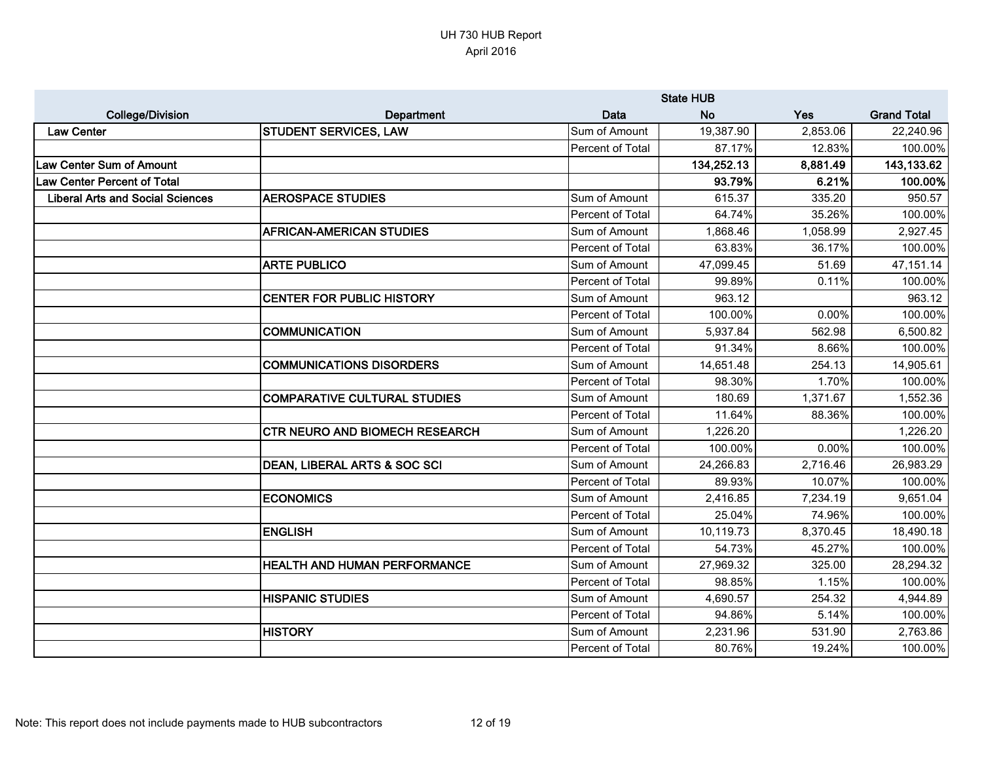|                                         |                                         |                  | <b>State HUB</b> |          |                    |
|-----------------------------------------|-----------------------------------------|------------------|------------------|----------|--------------------|
| <b>College/Division</b>                 | <b>Department</b>                       | Data             | <b>No</b>        | Yes      | <b>Grand Total</b> |
| <b>Law Center</b>                       | <b>STUDENT SERVICES, LAW</b>            | Sum of Amount    | 19,387.90        | 2,853.06 | 22,240.96          |
|                                         |                                         | Percent of Total | 87.17%           | 12.83%   | 100.00%            |
| <b>Law Center Sum of Amount</b>         |                                         |                  | 134,252.13       | 8,881.49 | 143,133.62         |
| <b>Law Center Percent of Total</b>      |                                         |                  | 93.79%           | 6.21%    | 100.00%            |
| <b>Liberal Arts and Social Sciences</b> | <b>AEROSPACE STUDIES</b>                | Sum of Amount    | 615.37           | 335.20   | 950.57             |
|                                         |                                         | Percent of Total | 64.74%           | 35.26%   | 100.00%            |
|                                         | <b>AFRICAN-AMERICAN STUDIES</b>         | Sum of Amount    | 1,868.46         | 1,058.99 | 2,927.45           |
|                                         |                                         | Percent of Total | 63.83%           | 36.17%   | 100.00%            |
|                                         | <b>ARTE PUBLICO</b>                     | Sum of Amount    | 47,099.45        | 51.69    | 47, 151.14         |
|                                         |                                         | Percent of Total | 99.89%           | 0.11%    | 100.00%            |
|                                         | <b>CENTER FOR PUBLIC HISTORY</b>        | Sum of Amount    | 963.12           |          | 963.12             |
|                                         |                                         | Percent of Total | 100.00%          | 0.00%    | 100.00%            |
|                                         | <b>COMMUNICATION</b>                    | Sum of Amount    | 5,937.84         | 562.98   | 6,500.82           |
|                                         |                                         | Percent of Total | 91.34%           | 8.66%    | 100.00%            |
|                                         | <b>COMMUNICATIONS DISORDERS</b>         | Sum of Amount    | 14,651.48        | 254.13   | 14,905.61          |
|                                         |                                         | Percent of Total | 98.30%           | 1.70%    | 100.00%            |
|                                         | <b>COMPARATIVE CULTURAL STUDIES</b>     | Sum of Amount    | 180.69           | 1,371.67 | 1,552.36           |
|                                         |                                         | Percent of Total | 11.64%           | 88.36%   | 100.00%            |
|                                         | CTR NEURO AND BIOMECH RESEARCH          | Sum of Amount    | 1,226.20         |          | 1,226.20           |
|                                         |                                         | Percent of Total | 100.00%          | $0.00\%$ | 100.00%            |
|                                         | <b>DEAN, LIBERAL ARTS &amp; SOC SCI</b> | Sum of Amount    | 24,266.83        | 2,716.46 | 26,983.29          |
|                                         |                                         | Percent of Total | 89.93%           | 10.07%   | 100.00%            |
|                                         | <b>ECONOMICS</b>                        | Sum of Amount    | 2,416.85         | 7,234.19 | 9,651.04           |
|                                         |                                         | Percent of Total | 25.04%           | 74.96%   | 100.00%            |
|                                         | <b>ENGLISH</b>                          | Sum of Amount    | 10,119.73        | 8,370.45 | 18,490.18          |
|                                         |                                         | Percent of Total | 54.73%           | 45.27%   | 100.00%            |
|                                         | <b>HEALTH AND HUMAN PERFORMANCE</b>     | Sum of Amount    | 27,969.32        | 325.00   | 28,294.32          |
|                                         |                                         | Percent of Total | 98.85%           | 1.15%    | 100.00%            |
|                                         | <b>HISPANIC STUDIES</b>                 | Sum of Amount    | 4,690.57         | 254.32   | 4,944.89           |
|                                         |                                         | Percent of Total | 94.86%           | 5.14%    | 100.00%            |
|                                         | <b>HISTORY</b>                          | Sum of Amount    | 2,231.96         | 531.90   | 2,763.86           |
|                                         |                                         | Percent of Total | 80.76%           | 19.24%   | 100.00%            |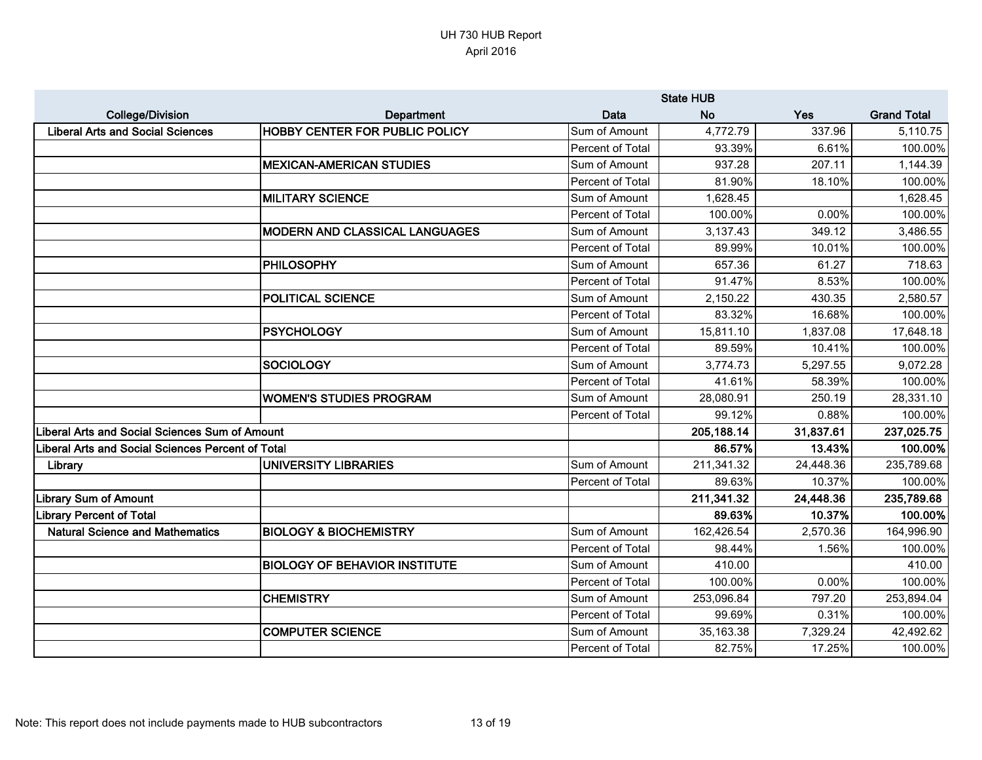|                                                   | <b>State HUB</b>                       |                  |            |           |                    |
|---------------------------------------------------|----------------------------------------|------------------|------------|-----------|--------------------|
| <b>College/Division</b>                           | Department                             | <b>Data</b>      | <b>No</b>  | Yes       | <b>Grand Total</b> |
| <b>Liberal Arts and Social Sciences</b>           | <b>HOBBY CENTER FOR PUBLIC POLICY</b>  | Sum of Amount    | 4,772.79   | 337.96    | 5,110.75           |
|                                                   |                                        | Percent of Total | 93.39%     | 6.61%     | 100.00%            |
|                                                   | <b>MEXICAN-AMERICAN STUDIES</b>        | Sum of Amount    | 937.28     | 207.11    | 1,144.39           |
|                                                   |                                        | Percent of Total | 81.90%     | 18.10%    | 100.00%            |
|                                                   | <b>MILITARY SCIENCE</b>                | Sum of Amount    | 1,628.45   |           | 1,628.45           |
|                                                   |                                        | Percent of Total | 100.00%    | 0.00%     | 100.00%            |
|                                                   | <b>IMODERN AND CLASSICAL LANGUAGES</b> | Sum of Amount    | 3,137.43   | 349.12    | 3,486.55           |
|                                                   |                                        | Percent of Total | 89.99%     | 10.01%    | 100.00%            |
|                                                   | <b>PHILOSOPHY</b>                      | Sum of Amount    | 657.36     | 61.27     | 718.63             |
|                                                   |                                        | Percent of Total | 91.47%     | 8.53%     | 100.00%            |
|                                                   | <b>POLITICAL SCIENCE</b>               | Sum of Amount    | 2,150.22   | 430.35    | 2,580.57           |
|                                                   |                                        | Percent of Total | 83.32%     | 16.68%    | 100.00%            |
|                                                   | <b>PSYCHOLOGY</b>                      | Sum of Amount    | 15,811.10  | 1,837.08  | 17,648.18          |
|                                                   |                                        | Percent of Total | 89.59%     | 10.41%    | 100.00%            |
|                                                   | <b>SOCIOLOGY</b>                       | Sum of Amount    | 3,774.73   | 5,297.55  | 9,072.28           |
|                                                   |                                        | Percent of Total | 41.61%     | 58.39%    | 100.00%            |
|                                                   | <b>WOMEN'S STUDIES PROGRAM</b>         | Sum of Amount    | 28,080.91  | 250.19    | 28,331.10          |
|                                                   |                                        | Percent of Total | 99.12%     | 0.88%     | 100.00%            |
| Liberal Arts and Social Sciences Sum of Amount    |                                        |                  | 205,188.14 | 31,837.61 | 237,025.75         |
| Liberal Arts and Social Sciences Percent of Total |                                        |                  | 86.57%     | 13.43%    | 100.00%            |
| Library                                           | <b>UNIVERSITY LIBRARIES</b>            | Sum of Amount    | 211,341.32 | 24,448.36 | 235,789.68         |
|                                                   |                                        | Percent of Total | 89.63%     | 10.37%    | 100.00%            |
| <b>Library Sum of Amount</b>                      |                                        |                  | 211,341.32 | 24,448.36 | 235,789.68         |
| <b>Library Percent of Total</b>                   |                                        |                  | 89.63%     | 10.37%    | 100.00%            |
| <b>Natural Science and Mathematics</b>            | <b>BIOLOGY &amp; BIOCHEMISTRY</b>      | Sum of Amount    | 162,426.54 | 2,570.36  | 164,996.90         |
|                                                   |                                        | Percent of Total | 98.44%     | 1.56%     | 100.00%            |
|                                                   | <b>BIOLOGY OF BEHAVIOR INSTITUTE</b>   | Sum of Amount    | 410.00     |           | 410.00             |
|                                                   |                                        | Percent of Total | 100.00%    | 0.00%     | 100.00%            |
|                                                   | <b>CHEMISTRY</b>                       | Sum of Amount    | 253,096.84 | 797.20    | 253,894.04         |
|                                                   |                                        | Percent of Total | 99.69%     | 0.31%     | 100.00%            |
|                                                   | <b>COMPUTER SCIENCE</b>                | Sum of Amount    | 35,163.38  | 7,329.24  | 42,492.62          |
|                                                   |                                        | Percent of Total | 82.75%     | 17.25%    | 100.00%            |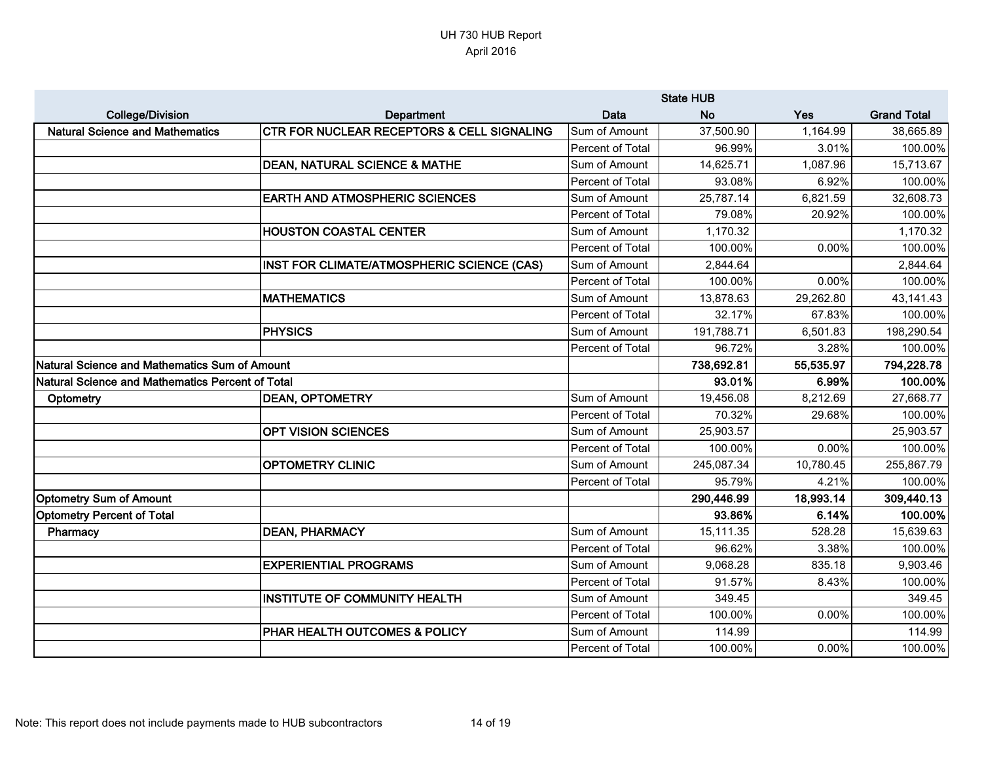|                                                  |                                                       | <b>State HUB</b> |            |           |                    |
|--------------------------------------------------|-------------------------------------------------------|------------------|------------|-----------|--------------------|
| <b>College/Division</b>                          | Department                                            | Data             | <b>No</b>  | Yes       | <b>Grand Total</b> |
| <b>Natural Science and Mathematics</b>           | <b>CTR FOR NUCLEAR RECEPTORS &amp; CELL SIGNALING</b> | Sum of Amount    | 37,500.90  | 1,164.99  | 38,665.89          |
|                                                  |                                                       | Percent of Total | 96.99%     | 3.01%     | 100.00%            |
|                                                  | <b>DEAN, NATURAL SCIENCE &amp; MATHE</b>              | Sum of Amount    | 14,625.71  | 1,087.96  | 15,713.67          |
|                                                  |                                                       | Percent of Total | 93.08%     | 6.92%     | 100.00%            |
|                                                  | <b>EARTH AND ATMOSPHERIC SCIENCES</b>                 | Sum of Amount    | 25,787.14  | 6,821.59  | 32,608.73          |
|                                                  |                                                       | Percent of Total | 79.08%     | 20.92%    | 100.00%            |
|                                                  | <b>HOUSTON COASTAL CENTER</b>                         | Sum of Amount    | 1,170.32   |           | 1,170.32           |
|                                                  |                                                       | Percent of Total | 100.00%    | 0.00%     | 100.00%            |
|                                                  | INST FOR CLIMATE/ATMOSPHERIC SCIENCE (CAS)            | Sum of Amount    | 2,844.64   |           | 2,844.64           |
|                                                  |                                                       | Percent of Total | 100.00%    | 0.00%     | 100.00%            |
|                                                  | <b>MATHEMATICS</b>                                    | Sum of Amount    | 13,878.63  | 29,262.80 | 43,141.43          |
|                                                  |                                                       | Percent of Total | 32.17%     | 67.83%    | 100.00%            |
|                                                  | PHYSICS                                               | Sum of Amount    | 191,788.71 | 6,501.83  | 198,290.54         |
|                                                  |                                                       | Percent of Total | 96.72%     | 3.28%     | 100.00%            |
| Natural Science and Mathematics Sum of Amount    |                                                       |                  | 738,692.81 | 55,535.97 | 794,228.78         |
| Natural Science and Mathematics Percent of Total |                                                       |                  | 93.01%     | 6.99%     | 100.00%            |
| Optometry                                        | <b>DEAN, OPTOMETRY</b>                                | Sum of Amount    | 19,456.08  | 8,212.69  | 27,668.77          |
|                                                  |                                                       | Percent of Total | 70.32%     | 29.68%    | 100.00%            |
|                                                  | <b>OPT VISION SCIENCES</b>                            | Sum of Amount    | 25,903.57  |           | 25,903.57          |
|                                                  |                                                       | Percent of Total | 100.00%    | 0.00%     | 100.00%            |
|                                                  | <b>OPTOMETRY CLINIC</b>                               | Sum of Amount    | 245,087.34 | 10,780.45 | 255,867.79         |
|                                                  |                                                       | Percent of Total | 95.79%     | 4.21%     | 100.00%            |
| <b>Optometry Sum of Amount</b>                   |                                                       |                  | 290,446.99 | 18,993.14 | 309,440.13         |
| <b>Optometry Percent of Total</b>                |                                                       |                  | 93.86%     | 6.14%     | 100.00%            |
| Pharmacy                                         | <b>DEAN, PHARMACY</b>                                 | Sum of Amount    | 15,111.35  | 528.28    | 15,639.63          |
|                                                  |                                                       | Percent of Total | 96.62%     | 3.38%     | 100.00%            |
|                                                  | <b>EXPERIENTIAL PROGRAMS</b>                          | Sum of Amount    | 9,068.28   | 835.18    | 9,903.46           |
|                                                  |                                                       | Percent of Total | 91.57%     | 8.43%     | 100.00%            |
|                                                  | <b>INSTITUTE OF COMMUNITY HEALTH</b>                  | Sum of Amount    | 349.45     |           | 349.45             |
|                                                  |                                                       | Percent of Total | 100.00%    | 0.00%     | 100.00%            |
|                                                  | PHAR HEALTH OUTCOMES & POLICY                         | Sum of Amount    | 114.99     |           | 114.99             |
|                                                  |                                                       | Percent of Total | 100.00%    | 0.00%     | 100.00%            |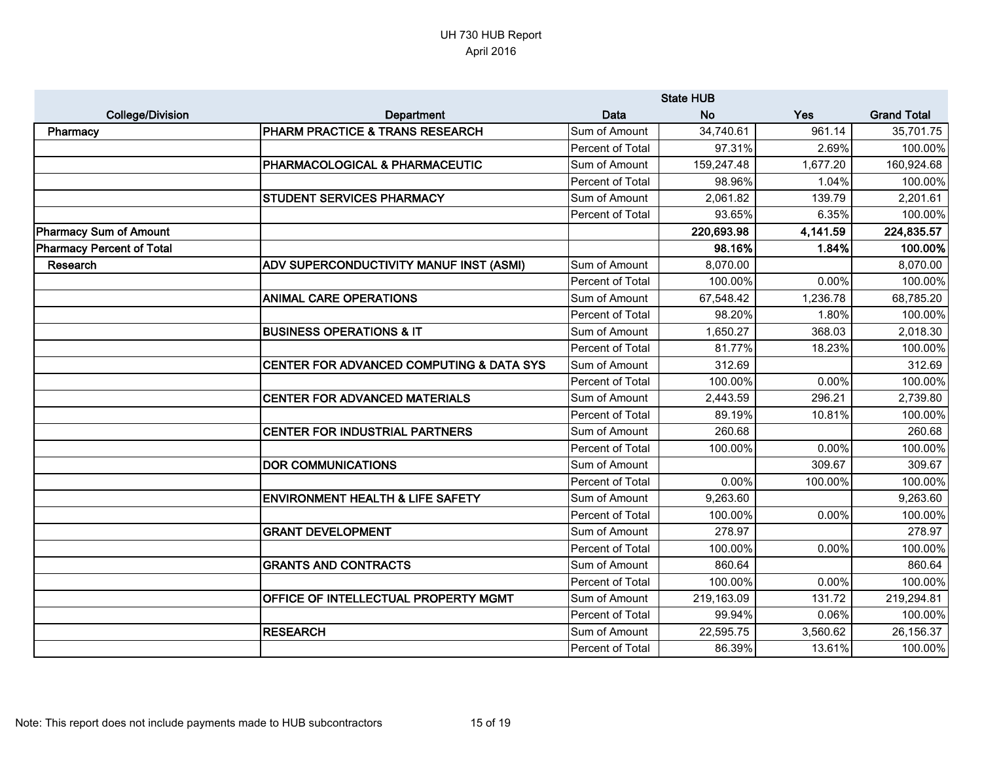|                           |                                             | <b>State HUB</b> |            |          |                    |
|---------------------------|---------------------------------------------|------------------|------------|----------|--------------------|
| <b>College/Division</b>   | Department                                  | <b>Data</b>      | <b>No</b>  | Yes      | <b>Grand Total</b> |
| Pharmacy                  | PHARM PRACTICE & TRANS RESEARCH             | Sum of Amount    | 34,740.61  | 961.14   | 35,701.75          |
|                           |                                             | Percent of Total | 97.31%     | 2.69%    | 100.00%            |
|                           | PHARMACOLOGICAL & PHARMACEUTIC              | Sum of Amount    | 159,247.48 | 1,677.20 | 160,924.68         |
|                           |                                             | Percent of Total | 98.96%     | 1.04%    | 100.00%            |
|                           | <b>STUDENT SERVICES PHARMACY</b>            | Sum of Amount    | 2,061.82   | 139.79   | 2,201.61           |
|                           |                                             | Percent of Total | 93.65%     | 6.35%    | 100.00%            |
| Pharmacy Sum of Amount    |                                             |                  | 220,693.98 | 4,141.59 | 224,835.57         |
| Pharmacy Percent of Total |                                             |                  | 98.16%     | 1.84%    | 100.00%            |
| Research                  | ADV SUPERCONDUCTIVITY MANUF INST (ASMI)     | Sum of Amount    | 8,070.00   |          | 8,070.00           |
|                           |                                             | Percent of Total | 100.00%    | 0.00%    | 100.00%            |
|                           | <b>ANIMAL CARE OPERATIONS</b>               | Sum of Amount    | 67,548.42  | 1,236.78 | 68,785.20          |
|                           |                                             | Percent of Total | 98.20%     | 1.80%    | 100.00%            |
|                           | <b>BUSINESS OPERATIONS &amp; IT</b>         | Sum of Amount    | 1,650.27   | 368.03   | 2,018.30           |
|                           |                                             | Percent of Total | 81.77%     | 18.23%   | 100.00%            |
|                           | CENTER FOR ADVANCED COMPUTING & DATA SYS    | Sum of Amount    | 312.69     |          | 312.69             |
|                           |                                             | Percent of Total | 100.00%    | 0.00%    | 100.00%            |
|                           | <b>CENTER FOR ADVANCED MATERIALS</b>        | Sum of Amount    | 2,443.59   | 296.21   | 2,739.80           |
|                           |                                             | Percent of Total | 89.19%     | 10.81%   | 100.00%            |
|                           | <b>CENTER FOR INDUSTRIAL PARTNERS</b>       | Sum of Amount    | 260.68     |          | 260.68             |
|                           |                                             | Percent of Total | 100.00%    | 0.00%    | 100.00%            |
|                           | <b>DOR COMMUNICATIONS</b>                   | Sum of Amount    |            | 309.67   | 309.67             |
|                           |                                             | Percent of Total | 0.00%      | 100.00%  | 100.00%            |
|                           | <b>ENVIRONMENT HEALTH &amp; LIFE SAFETY</b> | Sum of Amount    | 9,263.60   |          | 9,263.60           |
|                           |                                             | Percent of Total | 100.00%    | 0.00%    | 100.00%            |
|                           | <b>GRANT DEVELOPMENT</b>                    | Sum of Amount    | 278.97     |          | 278.97             |
|                           |                                             | Percent of Total | 100.00%    | 0.00%    | 100.00%            |
|                           | <b>GRANTS AND CONTRACTS</b>                 | Sum of Amount    | 860.64     |          | 860.64             |
|                           |                                             | Percent of Total | 100.00%    | 0.00%    | 100.00%            |
|                           | OFFICE OF INTELLECTUAL PROPERTY MGMT        | Sum of Amount    | 219,163.09 | 131.72   | 219,294.81         |
|                           |                                             | Percent of Total | 99.94%     | 0.06%    | 100.00%            |
|                           | <b>RESEARCH</b>                             | Sum of Amount    | 22,595.75  | 3,560.62 | 26,156.37          |
|                           |                                             | Percent of Total | 86.39%     | 13.61%   | 100.00%            |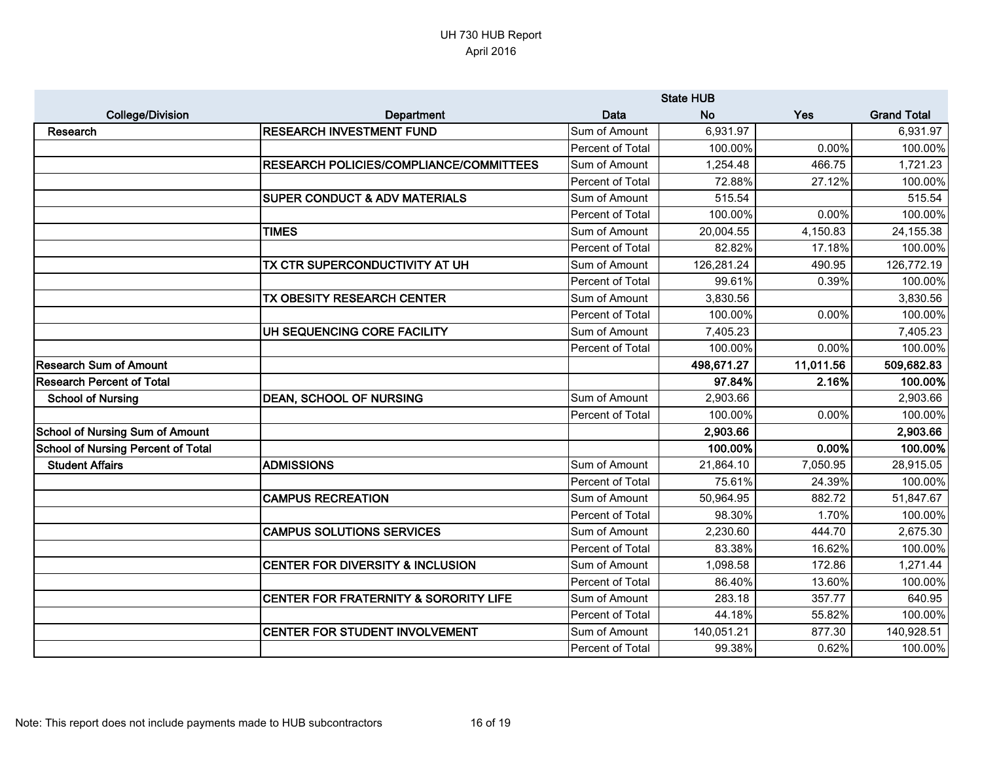|                                           |                                                  | <b>State HUB</b> |            |           |                    |
|-------------------------------------------|--------------------------------------------------|------------------|------------|-----------|--------------------|
| <b>College/Division</b>                   | Department                                       | Data             | <b>No</b>  | Yes       | <b>Grand Total</b> |
| <b>Research</b>                           | <b>RESEARCH INVESTMENT FUND</b>                  | Sum of Amount    | 6,931.97   |           | 6,931.97           |
|                                           |                                                  | Percent of Total | 100.00%    | 0.00%     | 100.00%            |
|                                           | <b>RESEARCH POLICIES/COMPLIANCE/COMMITTEES</b>   | Sum of Amount    | 1,254.48   | 466.75    | 1,721.23           |
|                                           |                                                  | Percent of Total | 72.88%     | 27.12%    | 100.00%            |
|                                           | <b>SUPER CONDUCT &amp; ADV MATERIALS</b>         | Sum of Amount    | 515.54     |           | 515.54             |
|                                           |                                                  | Percent of Total | 100.00%    | 0.00%     | 100.00%            |
|                                           | <b>TIMES</b>                                     | Sum of Amount    | 20,004.55  | 4,150.83  | 24,155.38          |
|                                           |                                                  | Percent of Total | 82.82%     | 17.18%    | 100.00%            |
|                                           | TX CTR SUPERCONDUCTIVITY AT UH                   | Sum of Amount    | 126,281.24 | 490.95    | 126,772.19         |
|                                           |                                                  | Percent of Total | 99.61%     | 0.39%     | 100.00%            |
|                                           | TX OBESITY RESEARCH CENTER                       | Sum of Amount    | 3,830.56   |           | 3,830.56           |
|                                           |                                                  | Percent of Total | 100.00%    | 0.00%     | 100.00%            |
|                                           | UH SEQUENCING CORE FACILITY                      | Sum of Amount    | 7,405.23   |           | 7,405.23           |
|                                           |                                                  | Percent of Total | 100.00%    | 0.00%     | 100.00%            |
| <b>Research Sum of Amount</b>             |                                                  |                  | 498,671.27 | 11,011.56 | 509,682.83         |
| <b>Research Percent of Total</b>          |                                                  |                  | 97.84%     | 2.16%     | 100.00%            |
| <b>School of Nursing</b>                  | <b>DEAN, SCHOOL OF NURSING</b>                   | Sum of Amount    | 2,903.66   |           | 2,903.66           |
|                                           |                                                  | Percent of Total | 100.00%    | 0.00%     | 100.00%            |
| <b>School of Nursing Sum of Amount</b>    |                                                  |                  | 2,903.66   |           | 2,903.66           |
| <b>School of Nursing Percent of Total</b> |                                                  |                  | 100.00%    | 0.00%     | 100.00%            |
| <b>Student Affairs</b>                    | <b>ADMISSIONS</b>                                | Sum of Amount    | 21,864.10  | 7,050.95  | 28,915.05          |
|                                           |                                                  | Percent of Total | 75.61%     | 24.39%    | 100.00%            |
|                                           | <b>CAMPUS RECREATION</b>                         | Sum of Amount    | 50,964.95  | 882.72    | 51,847.67          |
|                                           |                                                  | Percent of Total | 98.30%     | 1.70%     | 100.00%            |
|                                           | <b>CAMPUS SOLUTIONS SERVICES</b>                 | Sum of Amount    | 2,230.60   | 444.70    | 2,675.30           |
|                                           |                                                  | Percent of Total | 83.38%     | 16.62%    | 100.00%            |
|                                           | <b>CENTER FOR DIVERSITY &amp; INCLUSION</b>      | Sum of Amount    | 1,098.58   | 172.86    | 1,271.44           |
|                                           |                                                  | Percent of Total | 86.40%     | 13.60%    | 100.00%            |
|                                           | <b>CENTER FOR FRATERNITY &amp; SORORITY LIFE</b> | Sum of Amount    | 283.18     | 357.77    | 640.95             |
|                                           |                                                  | Percent of Total | 44.18%     | 55.82%    | 100.00%            |
|                                           | <b>CENTER FOR STUDENT INVOLVEMENT</b>            | Sum of Amount    | 140,051.21 | 877.30    | 140,928.51         |
|                                           |                                                  | Percent of Total | 99.38%     | 0.62%     | 100.00%            |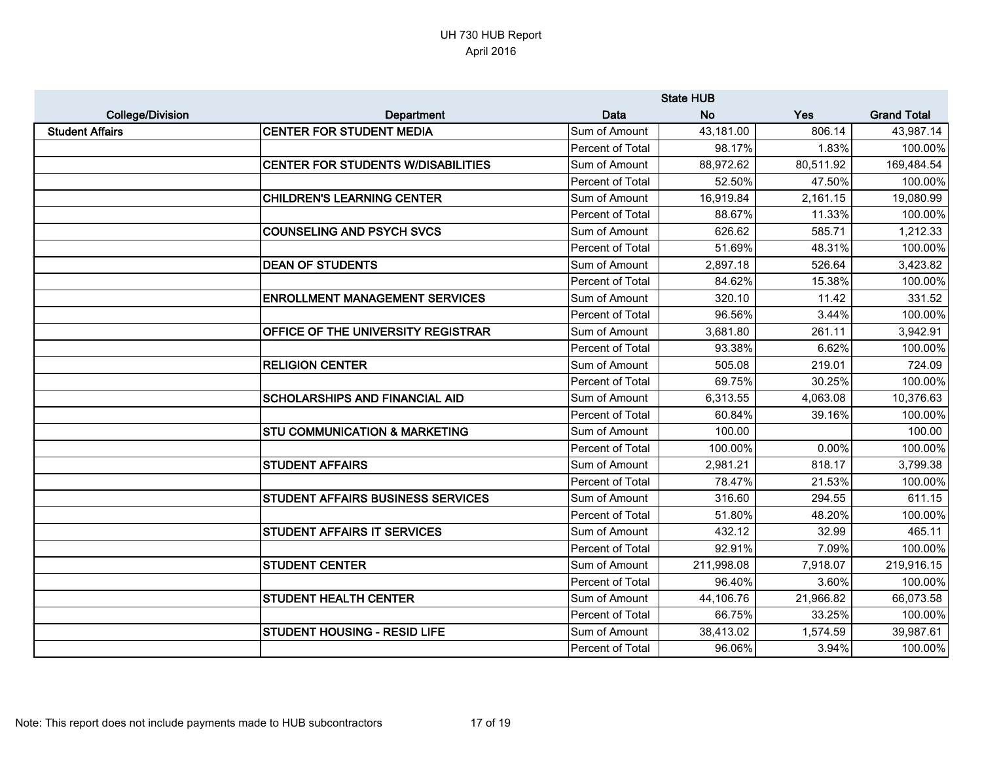|                         |                                           | <b>State HUB</b> |            |           |                    |
|-------------------------|-------------------------------------------|------------------|------------|-----------|--------------------|
| <b>College/Division</b> | Department                                | Data             | <b>No</b>  | Yes       | <b>Grand Total</b> |
| <b>Student Affairs</b>  | <b>CENTER FOR STUDENT MEDIA</b>           | Sum of Amount    | 43,181.00  | 806.14    | 43,987.14          |
|                         |                                           | Percent of Total | 98.17%     | 1.83%     | 100.00%            |
|                         | <b>CENTER FOR STUDENTS W/DISABILITIES</b> | Sum of Amount    | 88,972.62  | 80,511.92 | 169,484.54         |
|                         |                                           | Percent of Total | 52.50%     | 47.50%    | 100.00%            |
|                         | <b>CHILDREN'S LEARNING CENTER</b>         | Sum of Amount    | 16,919.84  | 2,161.15  | 19,080.99          |
|                         |                                           | Percent of Total | 88.67%     | 11.33%    | 100.00%            |
|                         | <b>COUNSELING AND PSYCH SVCS</b>          | Sum of Amount    | 626.62     | 585.71    | 1,212.33           |
|                         |                                           | Percent of Total | 51.69%     | 48.31%    | 100.00%            |
|                         | <b>DEAN OF STUDENTS</b>                   | Sum of Amount    | 2,897.18   | 526.64    | 3,423.82           |
|                         |                                           | Percent of Total | 84.62%     | 15.38%    | 100.00%            |
|                         | <b>ENROLLMENT MANAGEMENT SERVICES</b>     | Sum of Amount    | 320.10     | 11.42     | 331.52             |
|                         |                                           | Percent of Total | 96.56%     | 3.44%     | 100.00%            |
|                         | OFFICE OF THE UNIVERSITY REGISTRAR        | Sum of Amount    | 3,681.80   | 261.11    | 3,942.91           |
|                         |                                           | Percent of Total | 93.38%     | 6.62%     | 100.00%            |
|                         | <b>RELIGION CENTER</b>                    | Sum of Amount    | 505.08     | 219.01    | 724.09             |
|                         |                                           | Percent of Total | 69.75%     | 30.25%    | 100.00%            |
|                         | <b>SCHOLARSHIPS AND FINANCIAL AID</b>     | Sum of Amount    | 6,313.55   | 4,063.08  | 10,376.63          |
|                         |                                           | Percent of Total | 60.84%     | 39.16%    | 100.00%            |
|                         | <b>STU COMMUNICATION &amp; MARKETING</b>  | Sum of Amount    | 100.00     |           | 100.00             |
|                         |                                           | Percent of Total | 100.00%    | 0.00%     | 100.00%            |
|                         | <b>STUDENT AFFAIRS</b>                    | Sum of Amount    | 2,981.21   | 818.17    | 3,799.38           |
|                         |                                           | Percent of Total | 78.47%     | 21.53%    | 100.00%            |
|                         | STUDENT AFFAIRS BUSINESS SERVICES         | Sum of Amount    | 316.60     | 294.55    | 611.15             |
|                         |                                           | Percent of Total | 51.80%     | 48.20%    | 100.00%            |
|                         | <b>STUDENT AFFAIRS IT SERVICES</b>        | Sum of Amount    | 432.12     | 32.99     | 465.11             |
|                         |                                           | Percent of Total | 92.91%     | 7.09%     | 100.00%            |
|                         | <b>STUDENT CENTER</b>                     | Sum of Amount    | 211,998.08 | 7,918.07  | 219,916.15         |
|                         |                                           | Percent of Total | 96.40%     | 3.60%     | 100.00%            |
|                         | <b>STUDENT HEALTH CENTER</b>              | Sum of Amount    | 44,106.76  | 21,966.82 | 66,073.58          |
|                         |                                           | Percent of Total | 66.75%     | 33.25%    | 100.00%            |
|                         | STUDENT HOUSING - RESID LIFE              | Sum of Amount    | 38,413.02  | 1,574.59  | 39,987.61          |
|                         |                                           | Percent of Total | 96.06%     | 3.94%     | 100.00%            |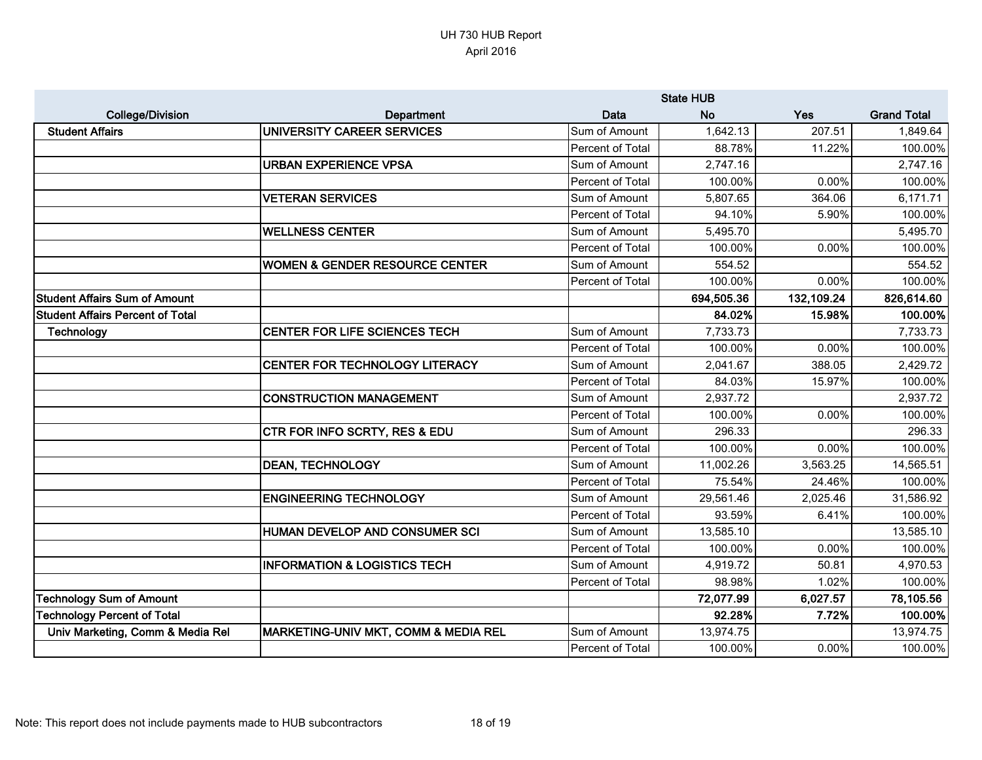|                                         |                                           | <b>State HUB</b> |            |            |                    |
|-----------------------------------------|-------------------------------------------|------------------|------------|------------|--------------------|
| <b>College/Division</b>                 | Department                                | <b>Data</b>      | <b>No</b>  | Yes        | <b>Grand Total</b> |
| <b>Student Affairs</b>                  | UNIVERSITY CAREER SERVICES                | Sum of Amount    | 1,642.13   | 207.51     | 1,849.64           |
|                                         |                                           | Percent of Total | 88.78%     | 11.22%     | 100.00%            |
|                                         | <b>URBAN EXPERIENCE VPSA</b>              | Sum of Amount    | 2,747.16   |            | 2,747.16           |
|                                         |                                           | Percent of Total | 100.00%    | 0.00%      | 100.00%            |
|                                         | <b>VETERAN SERVICES</b>                   | Sum of Amount    | 5,807.65   | 364.06     | 6,171.71           |
|                                         |                                           | Percent of Total | 94.10%     | 5.90%      | 100.00%            |
|                                         | <b>WELLNESS CENTER</b>                    | Sum of Amount    | 5,495.70   |            | 5,495.70           |
|                                         |                                           | Percent of Total | 100.00%    | 0.00%      | 100.00%            |
|                                         | <b>WOMEN &amp; GENDER RESOURCE CENTER</b> | Sum of Amount    | 554.52     |            | 554.52             |
|                                         |                                           | Percent of Total | 100.00%    | 0.00%      | 100.00%            |
| <b>Student Affairs Sum of Amount</b>    |                                           |                  | 694,505.36 | 132,109.24 | 826,614.60         |
| <b>Student Affairs Percent of Total</b> |                                           |                  | 84.02%     | 15.98%     | 100.00%            |
| Technology                              | CENTER FOR LIFE SCIENCES TECH             | Sum of Amount    | 7,733.73   |            | 7,733.73           |
|                                         |                                           | Percent of Total | 100.00%    | 0.00%      | 100.00%            |
|                                         | CENTER FOR TECHNOLOGY LITERACY            | Sum of Amount    | 2,041.67   | 388.05     | 2,429.72           |
|                                         |                                           | Percent of Total | 84.03%     | 15.97%     | 100.00%            |
|                                         | <b>CONSTRUCTION MANAGEMENT</b>            | Sum of Amount    | 2,937.72   |            | 2,937.72           |
|                                         |                                           | Percent of Total | 100.00%    | 0.00%      | 100.00%            |
|                                         | CTR FOR INFO SCRTY, RES & EDU             | Sum of Amount    | 296.33     |            | 296.33             |
|                                         |                                           | Percent of Total | 100.00%    | 0.00%      | 100.00%            |
|                                         | <b>DEAN, TECHNOLOGY</b>                   | Sum of Amount    | 11,002.26  | 3,563.25   | 14,565.51          |
|                                         |                                           | Percent of Total | 75.54%     | 24.46%     | 100.00%            |
|                                         | <b>ENGINEERING TECHNOLOGY</b>             | Sum of Amount    | 29,561.46  | 2,025.46   | 31,586.92          |
|                                         |                                           | Percent of Total | 93.59%     | 6.41%      | 100.00%            |
|                                         | HUMAN DEVELOP AND CONSUMER SCI            | Sum of Amount    | 13,585.10  |            | 13,585.10          |
|                                         |                                           | Percent of Total | 100.00%    | 0.00%      | 100.00%            |
|                                         | <b>INFORMATION &amp; LOGISTICS TECH</b>   | Sum of Amount    | 4,919.72   | 50.81      | 4,970.53           |
|                                         |                                           | Percent of Total | 98.98%     | 1.02%      | 100.00%            |
| <b>Technology Sum of Amount</b>         |                                           |                  | 72,077.99  | 6,027.57   | 78,105.56          |
| <b>Technology Percent of Total</b>      |                                           |                  | 92.28%     | 7.72%      | 100.00%            |
| Univ Marketing, Comm & Media Rel        | MARKETING-UNIV MKT, COMM & MEDIA REL      | Sum of Amount    | 13,974.75  |            | 13,974.75          |
|                                         |                                           | Percent of Total | 100.00%    | 0.00%      | 100.00%            |